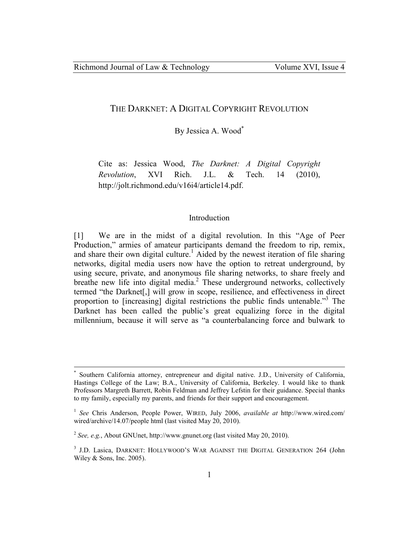## THE DARKNET: A DIGITAL COPYRIGHT REVOLUTION

By Jessica A. Wood\*

Cite as: Jessica Wood, *The Darknet: A Digital Copyright Revolution*, XVI Rich. J.L. & Tech. 14 (2010), http://jolt.richmond.edu/v16i4/article14.pdf.

### Introduction

[1] We are in the midst of a digital revolution. In this "Age of Peer Production," armies of amateur participants demand the freedom to rip, remix, and share their own digital culture.<sup>1</sup> Aided by the newest iteration of file sharing networks, digital media users now have the option to retreat underground, by using secure, private, and anonymous file sharing networks, to share freely and breathe new life into digital media.<sup>2</sup> These underground networks, collectively termed "the Darknet[,] will grow in scope, resilience, and effectiveness in direct proportion to [increasing] digital restrictions the public finds untenable.<sup>3</sup> The Darknet has been called the public's great equalizing force in the digital millennium, because it will serve as "a counterbalancing force and bulwark to

-

<sup>\*</sup> Southern California attorney, entrepreneur and digital native. J.D., University of California, Hastings College of the Law; B.A., University of California, Berkeley. I would like to thank Professors Margreth Barrett, Robin Feldman and Jeffrey Lefstin for their guidance. Special thanks to my family, especially my parents, and friends for their support and encouragement.

<sup>1</sup> *See* Chris Anderson, People Power, WIRED, July 2006, *available at* http://www.wired.com/ wired/archive/14.07/people html (last visited May 20, 2010).

<sup>2</sup> *See, e.g.*, About GNUnet, http://www.gnunet.org (last visited May 20, 2010).

<sup>&</sup>lt;sup>3</sup> J.D. Lasica, DARKNET: HOLLYWOOD'S WAR AGAINST THE DIGITAL GENERATION 264 (John Wiley & Sons, Inc. 2005).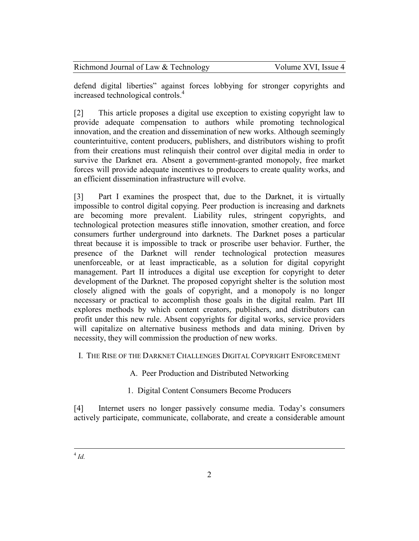|  | Richmond Journal of Law & Technology | Volume XVI, Issue 4 |
|--|--------------------------------------|---------------------|
|--|--------------------------------------|---------------------|

defend digital liberties" against forces lobbying for stronger copyrights and increased technological controls.<sup>4</sup>

[2] This article proposes a digital use exception to existing copyright law to provide adequate compensation to authors while promoting technological innovation, and the creation and dissemination of new works. Although seemingly counterintuitive, content producers, publishers, and distributors wishing to profit from their creations must relinquish their control over digital media in order to survive the Darknet era. Absent a government-granted monopoly, free market forces will provide adequate incentives to producers to create quality works, and an efficient dissemination infrastructure will evolve.

[3] Part I examines the prospect that, due to the Darknet, it is virtually impossible to control digital copying. Peer production is increasing and darknets are becoming more prevalent. Liability rules, stringent copyrights, and technological protection measures stifle innovation, smother creation, and force consumers further underground into darknets. The Darknet poses a particular threat because it is impossible to track or proscribe user behavior. Further, the presence of the Darknet will render technological protection measures unenforceable, or at least impracticable, as a solution for digital copyright management. Part II introduces a digital use exception for copyright to deter development of the Darknet. The proposed copyright shelter is the solution most closely aligned with the goals of copyright, and a monopoly is no longer necessary or practical to accomplish those goals in the digital realm. Part III explores methods by which content creators, publishers, and distributors can profit under this new rule. Absent copyrights for digital works, service providers will capitalize on alternative business methods and data mining. Driven by necessity, they will commission the production of new works.

# I. THE RISE OF THE DARKNET CHALLENGES DIGITAL COPYRIGHT ENFORCEMENT

# A. Peer Production and Distributed Networking

1. Digital Content Consumers Become Producers

[4] Internet users no longer passively consume media. Today's consumers actively participate, communicate, collaborate, and create a considerable amount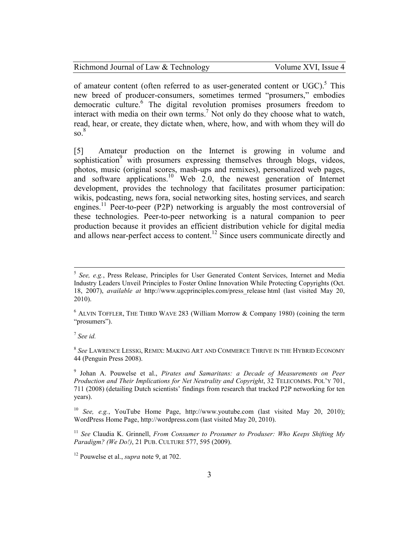| Richmond Journal of Law & Technology | Volume XVI, Issue 4 |
|--------------------------------------|---------------------|
|--------------------------------------|---------------------|

of amateur content (often referred to as user-generated content or  $UGC$ ).<sup>5</sup> This new breed of producer-consumers, sometimes termed "prosumers," embodies democratic culture.<sup>6</sup> The digital revolution promises prosumers freedom to interact with media on their own terms.<sup>7</sup> Not only do they choose what to watch, read, hear, or create, they dictate when, where, how, and with whom they will do  $\mathrm{so.}^8$ 

[5] Amateur production on the Internet is growing in volume and sophistication<sup>9</sup> with prosumers expressing themselves through blogs, videos, photos, music (original scores, mash-ups and remixes), personalized web pages, and software applications.<sup>10</sup> Web 2.0, the newest generation of Internet development, provides the technology that facilitates prosumer participation: wikis, podcasting, news fora, social networking sites, hosting services, and search engines.<sup>11</sup> Peer-to-peer (P2P) networking is arguably the most controversial of these technologies. Peer-to-peer networking is a natural companion to peer production because it provides an efficient distribution vehicle for digital media and allows near-perfect access to content.<sup>12</sup> Since users communicate directly and

7 *See id.*

<sup>5</sup> *See, e.g.*, Press Release, Principles for User Generated Content Services, Internet and Media Industry Leaders Unveil Principles to Foster Online Innovation While Protecting Copyrights (Oct. 18, 2007), *available at* http://www.ugcprinciples.com/press\_release html (last visited May 20, 2010).

 $6$  ALVIN TOFFLER, THE THIRD WAVE 283 (William Morrow & Company 1980) (coining the term "prosumers").

<sup>8</sup> *See* LAWRENCE LESSIG, REMIX: MAKING ART AND COMMERCE THRIVE IN THE HYBRID ECONOMY 44 (Penguin Press 2008).

<sup>9</sup> Johan A. Pouwelse et al., *Pirates and Samaritans: a Decade of Measurements on Peer Production and Their Implications for Net Neutrality and Copyright*, 32 TELECOMMS. POL'Y 701, 711 (2008) (detailing Dutch scientists' findings from research that tracked P2P networking for ten years).

<sup>10</sup> *See, e.g.*, YouTube Home Page, http://www.youtube.com (last visited May 20, 2010); WordPress Home Page, http://wordpress.com (last visited May 20, 2010).

<sup>11</sup> *See* Claudia K. Grinnell, *From Consumer to Prosumer to Produser: Who Keeps Shifting My Paradigm? (We Do!)*, 21 PUB. CULTURE 577, 595 (2009).

<sup>12</sup> Pouwelse et al., *supra* note 9, at 702.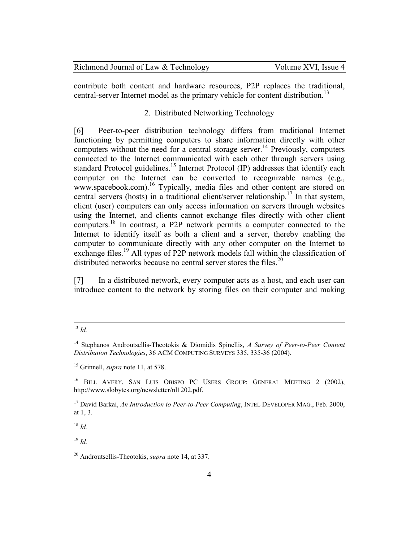| Richmond Journal of Law & Technology | Volume XVI, Issue 4 |
|--------------------------------------|---------------------|
|--------------------------------------|---------------------|

contribute both content and hardware resources, P2P replaces the traditional, central-server Internet model as the primary vehicle for content distribution.<sup>13</sup>

# 2. Distributed Networking Technology

[6] Peer-to-peer distribution technology differs from traditional Internet functioning by permitting computers to share information directly with other computers without the need for a central storage server.<sup>14</sup> Previously, computers connected to the Internet communicated with each other through servers using standard Protocol guidelines.<sup>15</sup> Internet Protocol (IP) addresses that identify each computer on the Internet can be converted to recognizable names (e.g., www.spacebook.com).<sup>16</sup> Typically, media files and other content are stored on central servers (hosts) in a traditional client/server relationship.<sup>17</sup> In that system, client (user) computers can only access information on servers through websites using the Internet, and clients cannot exchange files directly with other client computers.<sup>18</sup> In contrast, a P2P network permits a computer connected to the Internet to identify itself as both a client and a server, thereby enabling the computer to communicate directly with any other computer on the Internet to exchange files.<sup>19</sup> All types of P2P network models fall within the classification of distributed networks because no central server stores the files.<sup>20</sup>

[7] In a distributed network, every computer acts as a host, and each user can introduce content to the network by storing files on their computer and making

<sup>18</sup> *Id.*

<sup>19</sup> *Id.*

 $\overline{a}$ <sup>13</sup> *Id.*

<sup>14</sup> Stephanos Androutsellis-Theotokis & Diomidis Spinellis, *A Survey of Peer-to-Peer Content Distribution Technologies*, 36 ACM COMPUTING SURVEYS 335, 335-36 (2004).

<sup>15</sup> Grinnell, *supra* note 11, at 578.

<sup>&</sup>lt;sup>16</sup> BILL AVERY, SAN LUIS OBISPO PC USERS GROUP: GENERAL MEETING 2 (2002), http://www.slobytes.org/newsletter/nl1202.pdf.

<sup>&</sup>lt;sup>17</sup> David Barkai, *An Introduction to Peer-to-Peer Computing*, INTEL DEVELOPER MAG., Feb. 2000, at 1, 3.

<sup>20</sup> Androutsellis-Theotokis, *supra* note 14, at 337.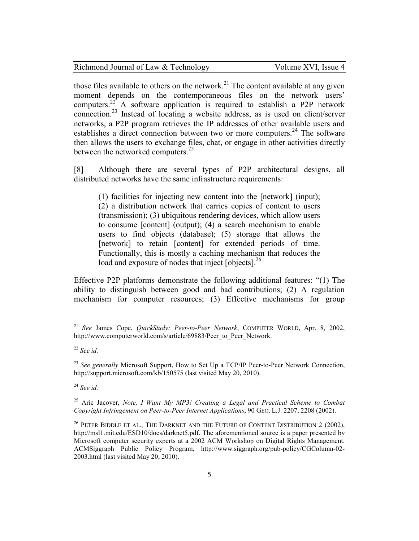| Richmond Journal of Law & Technology | Volume XVI, Issue 4 |
|--------------------------------------|---------------------|
|--------------------------------------|---------------------|

those files available to others on the network.<sup>21</sup> The content available at any given moment depends on the contemporaneous files on the network users' computers.<sup>22</sup> A software application is required to establish a P2P network connection.<sup>23</sup> Instead of locating a website address, as is used on client/server networks, a P2P program retrieves the IP addresses of other available users and establishes a direct connection between two or more computers.<sup>24</sup> The software then allows the users to exchange files, chat, or engage in other activities directly between the networked computers.<sup>25</sup>

[8] Although there are several types of P2P architectural designs, all distributed networks have the same infrastructure requirements:

(1) facilities for injecting new content into the [network] (input); (2) a distribution network that carries copies of content to users (transmission); (3) ubiquitous rendering devices, which allow users to consume [content] (output); (4) a search mechanism to enable users to find objects (database); (5) storage that allows the [network] to retain [content] for extended periods of time. Functionally, this is mostly a caching mechanism that reduces the load and exposure of nodes that inject [objects].<sup>26</sup>

Effective P2P platforms demonstrate the following additional features: "(1) The ability to distinguish between good and bad contributions; (2) A regulation mechanism for computer resources; (3) Effective mechanisms for group

<u>.</u>

<sup>23</sup> See generally Microsoft Support, How to Set Up a TCP/IP Peer-to-Peer Network Connection, http://support.microsoft.com/kb/150575 (last visited May 20, 2010).

<sup>24</sup> *See id.*

<sup>25</sup> Aric Jacover, *Note, I Want My MP3! Creating a Legal and Practical Scheme to Combat Copyright Infringement on Peer-to-Peer Internet Applications*, 90 GEO. L.J. 2207, 2208 (2002).

 $26$  PETER BIDDLE ET AL., THE DARKNET AND THE FUTURE OF CONTENT DISTRIBUTION 2 (2002), http://msl1.mit.edu/ESD10/docs/darknet5.pdf. The aforementioned source is a paper presented by Microsoft computer security experts at a 2002 ACM Workshop on Digital Rights Management. ACMSiggraph Public Policy Program, http://www.siggraph.org/pub-policy/CGColumn-02- 2003.html (last visited May 20, 2010).

<sup>21</sup> *See* James Cope, *QuickStudy: Peer-to-Peer Network*, COMPUTER WORLD, Apr. 8, 2002, http://www.computerworld.com/s/article/69883/Peer\_to\_Peer\_Network.

<sup>22</sup> *See id.*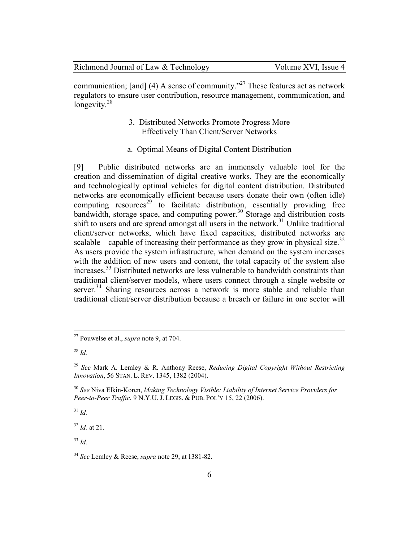|  |  |  |  |  | Richmond Journal of Law & Technology |
|--|--|--|--|--|--------------------------------------|
|--|--|--|--|--|--------------------------------------|

communication; [and] (4) A sense of community.<sup> $27$ </sup> These features act as network regulators to ensure user contribution, resource management, communication, and longevity. $28$ 

# 3. Distributed Networks Promote Progress More Effectively Than Client/Server Networks

a. Optimal Means of Digital Content Distribution

[9] Public distributed networks are an immensely valuable tool for the creation and dissemination of digital creative works. They are the economically and technologically optimal vehicles for digital content distribution. Distributed networks are economically efficient because users donate their own (often idle) computing resources<sup>29</sup> to facilitate distribution, essentially providing free bandwidth, storage space, and computing power.<sup>30</sup> Storage and distribution costs shift to users and are spread amongst all users in the network.<sup>31</sup> Unlike traditional client/server networks, which have fixed capacities, distributed networks are scalable—capable of increasing their performance as they grow in physical size.<sup>32</sup> As users provide the system infrastructure, when demand on the system increases with the addition of new users and content, the total capacity of the system also increases.<sup>33</sup> Distributed networks are less vulnerable to bandwidth constraints than traditional client/server models, where users connect through a single website or server.<sup>34</sup> Sharing resources across a network is more stable and reliable than traditional client/server distribution because a breach or failure in one sector will

 $\overline{a}$ 

<sup>31</sup> *Id.*

<sup>32</sup> *Id.* at 21.

 $33$  *Id.* 

<sup>27</sup> Pouwelse et al., *supra* note 9, at 704.

<sup>28</sup> *Id.*

<sup>29</sup> *See* Mark A. Lemley & R. Anthony Reese, *Reducing Digital Copyright Without Restricting Innovation*, 56 STAN. L. REV. 1345, 1382 (2004).

<sup>30</sup> *See* Niva Elkin-Koren, *Making Technology Visible: Liability of Internet Service Providers for Peer-to-Peer Traffic*, 9 N.Y.U. J. LEGIS. & PUB. POL'Y 15, 22 (2006).

<sup>34</sup> *See* Lemley & Reese, *supra* note 29, at 1381-82.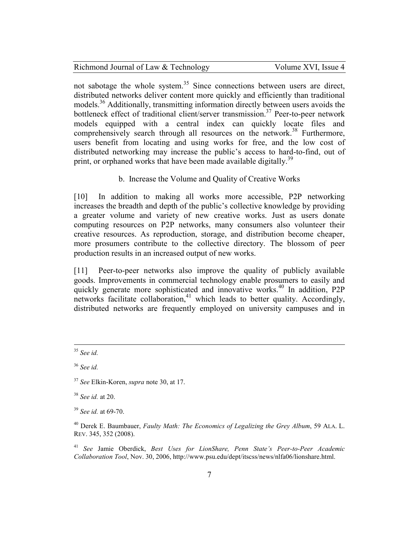not sabotage the whole system.<sup>35</sup> Since connections between users are direct, distributed networks deliver content more quickly and efficiently than traditional models.<sup>36</sup> Additionally, transmitting information directly between users avoids the bottleneck effect of traditional client/server transmission.<sup>37</sup> Peer-to-peer network models equipped with a central index can quickly locate files and comprehensively search through all resources on the network.<sup>38</sup> Furthermore, users benefit from locating and using works for free, and the low cost of distributed networking may increase the public's access to hard-to-find, out of print, or orphaned works that have been made available digitally.<sup>39</sup>

b. Increase the Volume and Quality of Creative Works

[10] In addition to making all works more accessible, P2P networking increases the breadth and depth of the public's collective knowledge by providing a greater volume and variety of new creative works. Just as users donate computing resources on P2P networks, many consumers also volunteer their creative resources. As reproduction, storage, and distribution become cheaper, more prosumers contribute to the collective directory. The blossom of peer production results in an increased output of new works.

[11] Peer-to-peer networks also improve the quality of publicly available goods. Improvements in commercial technology enable prosumers to easily and quickly generate more sophisticated and innovative works.<sup>40</sup> In addition, P2P networks facilitate collaboration, $41$  which leads to better quality. Accordingly, distributed networks are frequently employed on university campuses and in

<u>.</u>

<sup>38</sup> *See id.* at 20.

<sup>35</sup> *See id.*

<sup>36</sup> *See id.*

<sup>37</sup> *See* Elkin-Koren, *supra* note 30, at 17.

<sup>39</sup> *See id.* at 69-70.

<sup>40</sup> Derek E. Baumbauer, *Faulty Math: The Economics of Legalizing the Grey Album*, 59 ALA. L. REV. 345, 352 (2008).

<sup>41</sup> *See* Jamie Oberdick, *Best Uses for LionShare, Penn State's Peer-to-Peer Academic Collaboration Tool*, Nov. 30, 2006, http://www.psu.edu/dept/itscss/news/nlfa06/lionshare.html.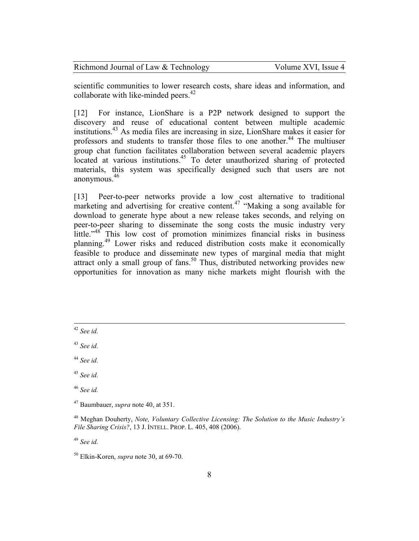| Richmond Journal of Law & Technology | Volume XVI, Issue 4 |
|--------------------------------------|---------------------|
|--------------------------------------|---------------------|

scientific communities to lower research costs, share ideas and information, and collaborate with like-minded peers.<sup>42</sup>

[12] For instance, LionShare is a P2P network designed to support the discovery and reuse of educational content between multiple academic institutions.<sup>43</sup> As media files are increasing in size, LionShare makes it easier for professors and students to transfer those files to one another.<sup>44</sup> The multiuser group chat function facilitates collaboration between several academic players located at various institutions.<sup>45</sup> To deter unauthorized sharing of protected materials, this system was specifically designed such that users are not anonymous.<sup>46</sup>

[13] Peer-to-peer networks provide a low cost alternative to traditional marketing and advertising for creative content.<sup>47</sup> "Making a song available for download to generate hype about a new release takes seconds, and relying on peer-to-peer sharing to disseminate the song costs the music industry very little."<sup>48</sup> This low cost of promotion minimizes financial risks in business planning.<sup>49</sup> Lower risks and reduced distribution costs make it economically feasible to produce and disseminate new types of marginal media that might attract only a small group of fans.<sup>50</sup> Thus, distributed networking provides new opportunities for innovation as many niche markets might flourish with the

<u>.</u>

<sup>43</sup> *See id.*

<sup>49</sup> *See id.*

<sup>42</sup> *See id.*

<sup>44</sup> *See id.*

<sup>45</sup> *See id.*

<sup>46</sup> *See id.*

<sup>47</sup> Baumbauer, *supra* note 40, at 351.

<sup>48</sup> Meghan Douherty, *Note, Voluntary Collective Licensing: The Solution to the Music Industry's File Sharing Crisis?*, 13 J. INTELL. PROP. L. 405, 408 (2006).

<sup>50</sup> Elkin-Koren, *supra* note 30, at 69-70.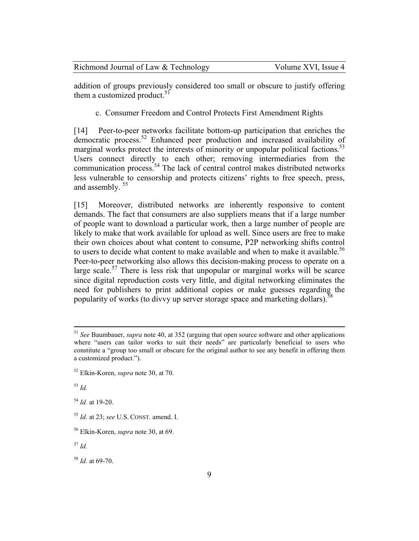| Richmond Journal of Law & Technology | Volume XVI, Issue 4 |
|--------------------------------------|---------------------|
|--------------------------------------|---------------------|

addition of groups previously considered too small or obscure to justify offering them a customized product.<sup>51</sup>

c. Consumer Freedom and Control Protects First Amendment Rights

[14] Peer-to-peer networks facilitate bottom-up participation that enriches the democratic process.<sup>52</sup> Enhanced peer production and increased availability of marginal works protect the interests of minority or unpopular political factions.<sup>53</sup> Users connect directly to each other; removing intermediaries from the communication process.<sup>54</sup> The lack of central control makes distributed networks less vulnerable to censorship and protects citizens' rights to free speech, press, and assembly.<sup>55</sup>

[15] Moreover, distributed networks are inherently responsive to content demands. The fact that consumers are also suppliers means that if a large number of people want to download a particular work, then a large number of people are likely to make that work available for upload as well. Since users are free to make their own choices about what content to consume, P2P networking shifts control to users to decide what content to make available and when to make it available.<sup>56</sup> Peer-to-peer networking also allows this decision-making process to operate on a large scale.<sup>57</sup> There is less risk that unpopular or marginal works will be scarce since digital reproduction costs very little, and digital networking eliminates the need for publishers to print additional copies or make guesses regarding the popularity of works (to divvy up server storage space and marketing dollars).<sup>5</sup>

<sup>53</sup> *Id.*

<u>.</u>

<sup>54</sup> *Id.* at 19-20.

<sup>58</sup> *Id.* at 69-70.

<sup>51</sup> *See* Baumbauer, *supra* note 40, at 352 (arguing that open source software and other applications where "users can tailor works to suit their needs" are particularly beneficial to users who constitute a "group too small or obscure for the original author to see any benefit in offering them a customized product.").

<sup>52</sup> Elkin-Koren, *supra* note 30, at 70.

<sup>55</sup> *Id.* at 23; *see* U.S. CONST. amend. I.

<sup>56</sup> Elkin-Koren, *supra* note 30, at 69.

<sup>57</sup> *Id.*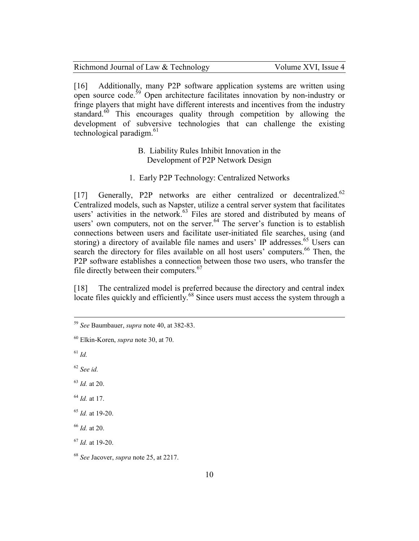| Richmond Journal of Law & Technology | Volume XVI, Issue 4 |
|--------------------------------------|---------------------|
|--------------------------------------|---------------------|

[16] Additionally, many P2P software application systems are written using open source code.<sup>59</sup> Open architecture facilitates innovation by non-industry or fringe players that might have different interests and incentives from the industry standard.<sup>60</sup> This encourages quality through competition by allowing the development of subversive technologies that can challenge the existing technological paradigm.<sup>61</sup>

- B. Liability Rules Inhibit Innovation in the Development of P2P Network Design
- 1. Early P2P Technology: Centralized Networks

[17] Generally, P2P networks are either centralized or decentralized.<sup>62</sup> Centralized models, such as Napster, utilize a central server system that facilitates users' activities in the network. $63$  Files are stored and distributed by means of users' own computers, not on the server.<sup>64</sup> The server's function is to establish connections between users and facilitate user-initiated file searches, using (and storing) a directory of available file names and users' IP addresses.<sup>65</sup> Users can search the directory for files available on all host users' computers.<sup>66</sup> Then, the P2P software establishes a connection between those two users, who transfer the file directly between their computers.<sup>67</sup>

[18] The centralized model is preferred because the directory and central index locate files quickly and efficiently.<sup>68</sup> Since users must access the system through a

- <sup>63</sup> *Id.* at 20.
- <sup>64</sup> *Id.* at 17.
- <sup>65</sup> *Id.* at 19-20.
- <sup>66</sup> *Id.* at 20.

<sup>59</sup> *See* Baumbauer, *supra* note 40, at 382-83.

<sup>60</sup> Elkin-Koren, *supra* note 30, at 70.

<sup>61</sup> *Id.*

<sup>62</sup> *See id.*

<sup>67</sup> *Id.* at 19-20.

<sup>68</sup> *See* Jacover, *supra* note 25, at 2217.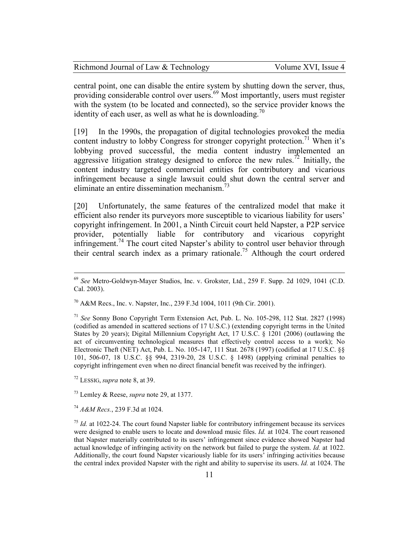| Richmond Journal of Law & Technology | Volume XVI, Issue 4 |
|--------------------------------------|---------------------|
|--------------------------------------|---------------------|

central point, one can disable the entire system by shutting down the server, thus, providing considerable control over users.<sup>69</sup> Most importantly, users must register with the system (to be located and connected), so the service provider knows the identity of each user, as well as what he is downloading.<sup>70</sup>

[19] In the 1990s, the propagation of digital technologies provoked the media content industry to lobby Congress for stronger copyright protection.<sup>71</sup> When it's lobbying proved successful, the media content industry implemented an aggressive litigation strategy designed to enforce the new rules.<sup>72</sup> Initially, the content industry targeted commercial entities for contributory and vicarious infringement because a single lawsuit could shut down the central server and eliminate an entire dissemination mechanism.<sup>73</sup>

[20] Unfortunately, the same features of the centralized model that make it efficient also render its purveyors more susceptible to vicarious liability for users' copyright infringement. In 2001, a Ninth Circuit court held Napster, a P2P service provider, potentially liable for contributory and vicarious copyright infringement.<sup>74</sup> The court cited Napster's ability to control user behavior through their central search index as a primary rationale.<sup>75</sup> Although the court ordered

<sup>69</sup> *See* Metro-Goldwyn-Mayer Studios, Inc. v. Grokster, Ltd., 259 F. Supp. 2d 1029, 1041 (C.D. Cal. 2003).

 $^{70}$  A&M Recs., Inc. v. Napster, Inc., 239 F.3d 1004, 1011 (9th Cir. 2001).

<sup>71</sup> *See* Sonny Bono Copyright Term Extension Act, Pub. L. No. 105-298, 112 Stat. 2827 (1998) (codified as amended in scattered sections of 17 U.S.C.) (extending copyright terms in the United States by 20 years); Digital Millennium Copyright Act, 17 U.S.C. § 1201 (2006) (outlawing the act of circumventing technological measures that effectively control access to a work); No Electronic Theft (NET) Act, Pub. L. No. 105-147, 111 Stat. 2678 (1997) (codified at 17 U.S.C. §§ 101, 506-07, 18 U.S.C. §§ 994, 2319-20, 28 U.S.C. § 1498) (applying criminal penalties to copyright infringement even when no direct financial benefit was received by the infringer).

<sup>72</sup> LESSIG, *supra* note 8, at 39.

<sup>73</sup> Lemley & Reese, *supra* note 29, at 1377.

<sup>74</sup> *A&M Recs.*, 239 F.3d at 1024.

<sup>75</sup> *Id.* at 1022-24. The court found Napster liable for contributory infringement because its services were designed to enable users to locate and download music files. *Id.* at 1024. The court reasoned that Napster materially contributed to its users' infringement since evidence showed Napster had actual knowledge of infringing activity on the network but failed to purge the system. *Id.* at 1022. Additionally, the court found Napster vicariously liable for its users' infringing activities because the central index provided Napster with the right and ability to supervise its users. *Id.* at 1024. The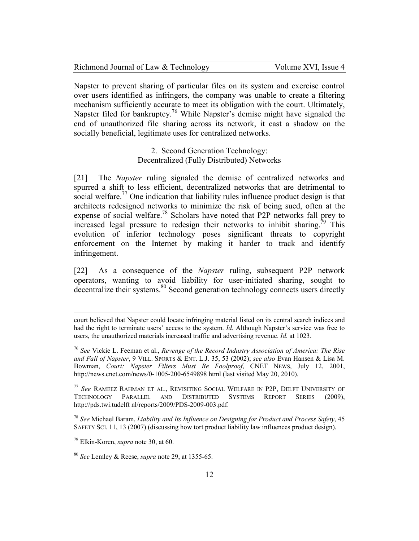| Richmond Journal of Law & Technology | Volume XVI, Issue 4 |
|--------------------------------------|---------------------|
|--------------------------------------|---------------------|

Napster to prevent sharing of particular files on its system and exercise control over users identified as infringers, the company was unable to create a filtering mechanism sufficiently accurate to meet its obligation with the court. Ultimately, Napster filed for bankruptcy.<sup>76</sup> While Napster's demise might have signaled the end of unauthorized file sharing across its network, it cast a shadow on the socially beneficial, legitimate uses for centralized networks.

> 2. Second Generation Technology: Decentralized (Fully Distributed) Networks

[21] The *Napster* ruling signaled the demise of centralized networks and spurred a shift to less efficient, decentralized networks that are detrimental to social welfare.<sup>77</sup> One indication that liability rules influence product design is that architects redesigned networks to minimize the risk of being sued, often at the expense of social welfare.<sup>78</sup> Scholars have noted that P2P networks fall prey to increased legal pressure to redesign their networks to inhibit sharing.<sup>79</sup> This evolution of inferior technology poses significant threats to copyright enforcement on the Internet by making it harder to track and identify infringement.

[22] As a consequence of the *Napster* ruling, subsequent P2P network operators, wanting to avoid liability for user-initiated sharing, sought to decentralize their systems.<sup>80</sup> Second generation technology connects users directly

court believed that Napster could locate infringing material listed on its central search indices and had the right to terminate users' access to the system. *Id.* Although Napster's service was free to users, the unauthorized materials increased traffic and advertising revenue. *Id.* at 1023.

<sup>76</sup> *See* Vickie L. Feeman et al., *Revenge of the Record Industry Association of America: The Rise and Fall of Napster*, 9 VILL. SPORTS & ENT. L.J. 35, 53 (2002); *see also* Evan Hansen & Lisa M. Bowman, *Court: Napster Filters Must Be Foolproof*, CNET NEWS, July 12, 2001, http://news.cnet.com/news/0-1005-200-6549898 html (last visited May 20, 2010).

<sup>77</sup> *See* RAMEEZ RAHMAN ET AL., REVISITING SOCIAL WELFARE IN P2P, DELFT UNIVERSITY OF TECHNOLOGY PARALLEL AND DISTRIBUTED SYSTEMS REPORT SERIES (2009), http://pds.twi.tudelft nl/reports/2009/PDS-2009-003.pdf.

<sup>78</sup> *See* Michael Baram, *Liability and Its Influence on Designing for Product and Process Safety*, 45 SAFETY SCI. 11, 13 (2007) (discussing how tort product liability law influences product design).

<sup>79</sup> Elkin-Koren, *supra* note 30, at 60.

<sup>80</sup> *See* Lemley & Reese, *supra* note 29, at 1355-65.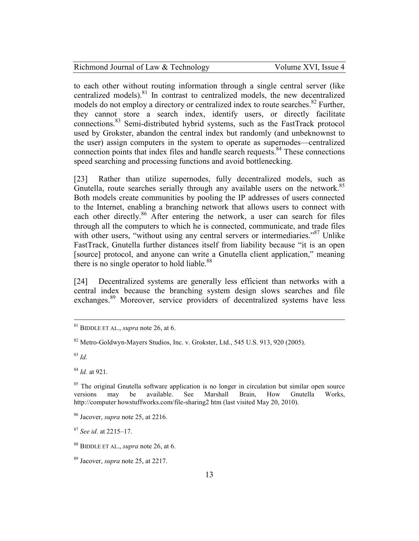| Richmond Journal of Law & Technology | Volume XVI, Issue 4 |
|--------------------------------------|---------------------|
|--------------------------------------|---------------------|

to each other without routing information through a single central server (like centralized models).<sup>81</sup> In contrast to centralized models, the new decentralized models do not employ a directory or centralized index to route searches.<sup>82</sup> Further, they cannot store a search index, identify users, or directly facilitate connections.<sup>83</sup> Semi-distributed hybrid systems, such as the FastTrack protocol used by Grokster, abandon the central index but randomly (and unbeknownst to the user) assign computers in the system to operate as supernodes—centralized connection points that index files and handle search requests.<sup>84</sup> These connections speed searching and processing functions and avoid bottlenecking.

[23] Rather than utilize supernodes, fully decentralized models, such as Gnutella, route searches serially through any available users on the network.<sup>85</sup> Both models create communities by pooling the IP addresses of users connected to the Internet, enabling a branching network that allows users to connect with each other directly.<sup>86</sup> After entering the network, a user can search for files through all the computers to which he is connected, communicate, and trade files with other users, "without using any central servers or intermediaries."<sup>87</sup> Unlike FastTrack, Gnutella further distances itself from liability because "it is an open [source] protocol, and anyone can write a Gnutella client application," meaning there is no single operator to hold liable.<sup>88</sup>

[24] Decentralized systems are generally less efficient than networks with a central index because the branching system design slows searches and file exchanges.<sup>89</sup> Moreover, service providers of decentralized systems have less

<sup>83</sup> *Id.*

<sup>81</sup> BIDDLE ET AL., *supra* note 26, at 6.

<sup>82</sup> Metro-Goldwyn-Mayers Studios, Inc. v. Grokster, Ltd., 545 U.S. 913, 920 (2005).

<sup>84</sup> *Id.* at 921.

<sup>&</sup>lt;sup>85</sup> The original Gnutella software application is no longer in circulation but similar open source versions may be available. See Marshall Brain, How Gnutella Works, versions may be available. See Marshall Brain, How Gnutella Works, http://computer howstuffworks.com/file-sharing2 htm (last visited May 20, 2010).

<sup>86</sup> Jacover, *supra* note 25, at 2216.

<sup>87</sup> *See id.* at 2215–17.

<sup>88</sup> BIDDLE ET AL., *supra* note 26, at 6.

<sup>89</sup> Jacover, *supra* note 25, at 2217.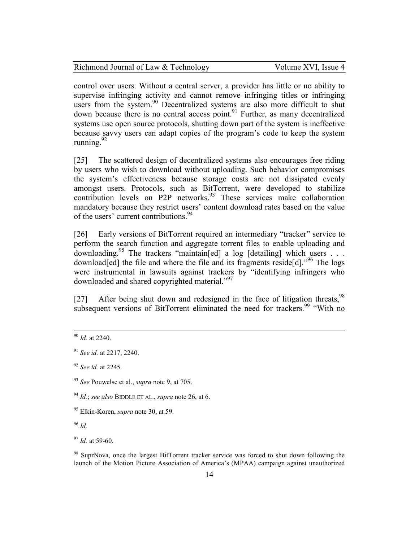| Richmond Journal of Law & Technology | Volume XVI, Issue 4 |
|--------------------------------------|---------------------|
|--------------------------------------|---------------------|

control over users. Without a central server, a provider has little or no ability to supervise infringing activity and cannot remove infringing titles or infringing users from the system.<sup>90</sup> Decentralized systems are also more difficult to shut down because there is no central access point. $91$  Further, as many decentralized systems use open source protocols, shutting down part of the system is ineffective because savvy users can adapt copies of the program's code to keep the system running.<sup>92</sup>

[25] The scattered design of decentralized systems also encourages free riding by users who wish to download without uploading. Such behavior compromises the system's effectiveness because storage costs are not dissipated evenly amongst users. Protocols, such as BitTorrent, were developed to stabilize contribution levels on P2P networks.<sup>93</sup> These services make collaboration mandatory because they restrict users' content download rates based on the value of the users' current contributions.<sup>94</sup>

[26] Early versions of BitTorrent required an intermediary "tracker" service to perform the search function and aggregate torrent files to enable uploading and downloading.<sup>95</sup> The trackers "maintain[ed] a log [detailing] which users  $\ldots$ download[ed] the file and where the file and its fragments reside[d].<sup>"96</sup> The logs were instrumental in lawsuits against trackers by "identifying infringers who downloaded and shared copyrighted material."<sup>97</sup>

[27] After being shut down and redesigned in the face of litigation threats, <sup>98</sup> subsequent versions of BitTorrent eliminated the need for trackers.<sup>99</sup> "With no

 $\overline{a}$ 

<sup>98</sup> SuprNova, once the largest BitTorrent tracker service was forced to shut down following the launch of the Motion Picture Association of America's (MPAA) campaign against unauthorized

<sup>90</sup> *Id.* at 2240.

<sup>91</sup> *See id.* at 2217, 2240.

<sup>92</sup> *See id.* at 2245.

<sup>93</sup> *See* Pouwelse et al., *supra* note 9, at 705.

<sup>94</sup> *Id.*; *see also* BIDDLE ET AL., *supra* note 26, at 6.

<sup>95</sup> Elkin-Koren, *supra* note 30, at 59.

<sup>96</sup> *Id.*

<sup>97</sup> *Id.* at 59-60.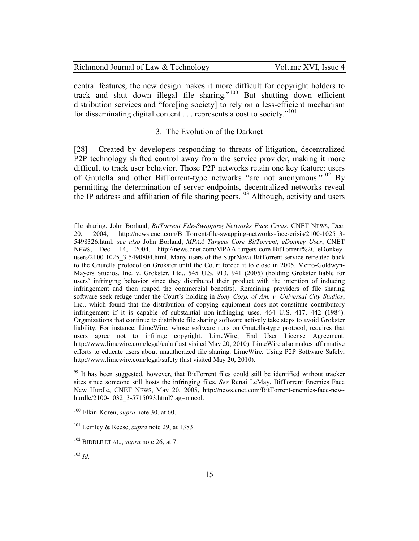| Richmond Journal of Law & Technology | Volume XVI, Issue 4 |
|--------------------------------------|---------------------|
|--------------------------------------|---------------------|

central features, the new design makes it more difficult for copyright holders to track and shut down illegal file sharing."<sup>100</sup> But shutting down efficient distribution services and "forc[ing society] to rely on a less-efficient mechanism for disseminating digital content . . . represents a cost to society."<sup>101</sup>

## 3. The Evolution of the Darknet

[28] Created by developers responding to threats of litigation, decentralized P2P technology shifted control away from the service provider, making it more difficult to track user behavior. Those P2P networks retain one key feature: users of Gnutella and other BitTorrent-type networks "are not anonymous."<sup>102</sup> By permitting the determination of server endpoints, decentralized networks reveal the IP address and affiliation of file sharing peers.<sup>103</sup> Although, activity and users

-

file sharing. John Borland, *BitTorrent File-Swapping Networks Face Crisis*, CNET NEWS, Dec. 20, 2004, http://news.cnet.com/BitTorrent-file-swapping-networks-face-crisis/2100-1025\_3- 5498326.html; *see also* John Borland, *MPAA Targets Core BitTorrent, eDonkey User*, CNET NEWS, Dec. 14, 2004, http://news.cnet.com/MPAA-targets-core-BitTorrent%2C-eDonkeyusers/2100-1025\_3-5490804.html. Many users of the SuprNova BitTorrent service retreated back to the Gnutella protocol on Grokster until the Court forced it to close in 2005. Metro-Goldwyn-Mayers Studios, Inc. v. Grokster, Ltd., 545 U.S. 913, 941 (2005) (holding Grokster liable for users' infringing behavior since they distributed their product with the intention of inducing infringement and then reaped the commercial benefits). Remaining providers of file sharing software seek refuge under the Court's holding in *Sony Corp. of Am. v. Universal City Studios*, Inc., which found that the distribution of copying equipment does not constitute contributory infringement if it is capable of substantial non-infringing uses. 464 U.S. 417, 442 (1984). Organizations that continue to distribute file sharing software actively take steps to avoid Grokster liability. For instance, LimeWire, whose software runs on Gnutella-type protocol, requires that users agree not to infringe copyright. LimeWire, End User License Agreement, http://www.limewire.com/legal/eula (last visited May 20, 2010). LimeWire also makes affirmative efforts to educate users about unauthorized file sharing. LimeWire, Using P2P Software Safely, http://www.limewire.com/legal/safety (last visited May 20, 2010).

<sup>&</sup>lt;sup>99</sup> It has been suggested, however, that BitTorrent files could still be identified without tracker sites since someone still hosts the infringing files. *See* Renai LeMay, BitTorrent Enemies Face New Hurdle, CNET NEWS, May 20, 2005, http://news.cnet.com/BitTorrent-enemies-face-newhurdle/2100-1032\_3-5715093.html?tag=mncol.

<sup>100</sup> Elkin-Koren, *supra* note 30, at 60.

<sup>101</sup> Lemley & Reese, *supra* note 29, at 1383.

<sup>102</sup> BIDDLE ET AL., *supra* note 26, at 7.

<sup>103</sup> *Id.*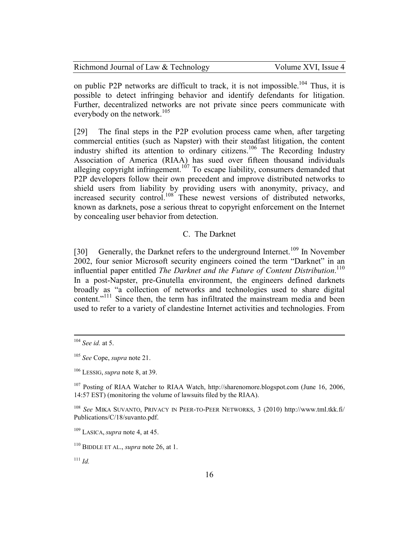| Richmond Journal of Law & Technology | Volume XVI, Issue 4 |
|--------------------------------------|---------------------|
|--------------------------------------|---------------------|

on public P2P networks are difficult to track, it is not impossible.<sup>104</sup> Thus, it is possible to detect infringing behavior and identify defendants for litigation. Further, decentralized networks are not private since peers communicate with everybody on the network. $105$ 

[29] The final steps in the P2P evolution process came when, after targeting commercial entities (such as Napster) with their steadfast litigation, the content industry shifted its attention to ordinary citizens. <sup>106</sup> The Recording Industry Association of America (RIAA) has sued over fifteen thousand individuals alleging copyright infringement.<sup>107</sup> To escape liability, consumers demanded that P2P developers follow their own precedent and improve distributed networks to shield users from liability by providing users with anonymity, privacy, and increased security control.<sup>108</sup> These newest versions of distributed networks, known as darknets, pose a serious threat to copyright enforcement on the Internet by concealing user behavior from detection.

### C. The Darknet

[30] Generally, the Darknet refers to the underground Internet.<sup>109</sup> In November 2002, four senior Microsoft security engineers coined the term "Darknet" in an influential paper entitled *The Darknet and the Future of Content Distribution*. 110 In a post-Napster, pre-Gnutella environment, the engineers defined darknets broadly as "a collection of networks and technologies used to share digital content."<sup>111</sup> Since then, the term has infiltrated the mainstream media and been used to refer to a variety of clandestine Internet activities and technologies. From

<sup>104</sup> *See id.* at 5.

<sup>105</sup> *See* Cope, *supra* note 21.

<sup>106</sup> LESSIG, *supra* note 8, at 39.

<sup>107</sup> Posting of RIAA Watcher to RIAA Watch, http://sharenomore.blogspot.com (June 16, 2006, 14:57 EST) (monitoring the volume of lawsuits filed by the RIAA).

<sup>108</sup> *See* MIKA SUVANTO, PRIVACY IN PEER-TO-PEER NETWORKS, 3 (2010) http://www.tml.tkk.fi/ Publications/C/18/suvanto.pdf.

<sup>109</sup> LASICA, *supra* note 4, at 45.

<sup>110</sup> BIDDLE ET AL., *supra* note 26, at 1.

 $111$  *Id.*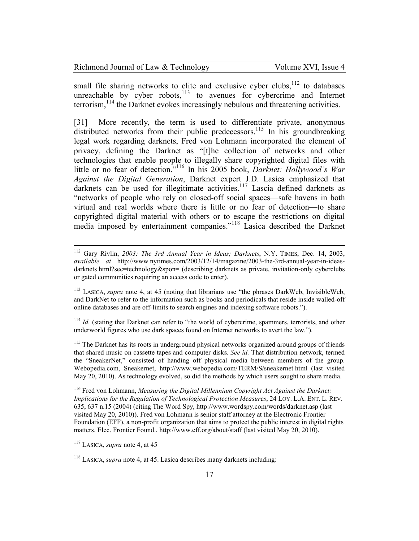| Richmond Journal of Law & Technology | Volume XVI, Issue 4 |
|--------------------------------------|---------------------|
|--------------------------------------|---------------------|

small file sharing networks to elite and exclusive cyber clubs, $112$  to databases unreachable by cyber robots, $113$  to avenues for cybercrime and Internet terrorism,<sup>114</sup> the Darknet evokes increasingly nebulous and threatening activities.

[31] More recently, the term is used to differentiate private, anonymous distributed networks from their public predecessors.<sup>115</sup> In his groundbreaking legal work regarding darknets, Fred von Lohmann incorporated the element of privacy, defining the Darknet as "[t]he collection of networks and other technologies that enable people to illegally share copyrighted digital files with little or no fear of detection."<sup>116</sup> In his 2005 book, *Darknet: Hollywood's War Against the Digital Generation*, Darknet expert J.D. Lasica emphasized that darknets can be used for illegitimate activities.<sup>117</sup> Lascia defined darknets as "networks of people who rely on closed-off social spaces—safe havens in both virtual and real worlds where there is little or no fear of detection—to share copyrighted digital material with others or to escape the restrictions on digital media imposed by entertainment companies."<sup>118</sup> Lasica described the Darknet

<sup>112</sup> Gary Rivlin, *2003: The 3rd Annual Year in Ideas; Darknets*, N.Y. TIMES, Dec. 14, 2003, *available at* http://www nytimes.com/2003/12/14/magazine/2003-the-3rd-annual-year-in-ideasdarknets html?sec=technology&spon= (describing darknets as private, invitation-only cyberclubs or gated communities requiring an access code to enter).

<sup>113</sup> LASICA, *supra* note 4, at 45 (noting that librarians use "the phrases DarkWeb, InvisibleWeb, and DarkNet to refer to the information such as books and periodicals that reside inside walled-off online databases and are off-limits to search engines and indexing software robots.").

<sup>&</sup>lt;sup>114</sup> *Id.* (stating that Darknet can refer to "the world of cybercrime, spammers, terrorists, and other underworld figures who use dark spaces found on Internet networks to avert the law.").

<sup>&</sup>lt;sup>115</sup> The Darknet has its roots in underground physical networks organized around groups of friends that shared music on cassette tapes and computer disks. *See id.* That distribution network, termed the "SneakerNet," consisted of handing off physical media between members of the group. Webopedia.com, Sneakernet, http://www.webopedia.com/TERM/S/sneakernet html (last visited May 20, 2010). As technology evolved, so did the methods by which users sought to share media.

<sup>116</sup> Fred von Lohmann, *Measuring the Digital Millennium Copyright Act Against the Darknet: Implications for the Regulation of Technological Protection Measures*, 24 LOY. L.A. ENT. L. REV. 635, 637 n.15 (2004) (citing The Word Spy, http://www.wordspy.com/words/darknet.asp (last visited May 20, 2010)). Fred von Lohmann is senior staff attorney at the Electronic Frontier Foundation (EFF), a non-profit organization that aims to protect the public interest in digital rights matters. Elec. Frontier Found., http://www.eff.org/about/staff (last visited May 20, 2010).

<sup>117</sup> LASICA, *supra* note 4, at 45

<sup>118</sup> LASICA, *supra* note 4, at 45. Lasica describes many darknets including: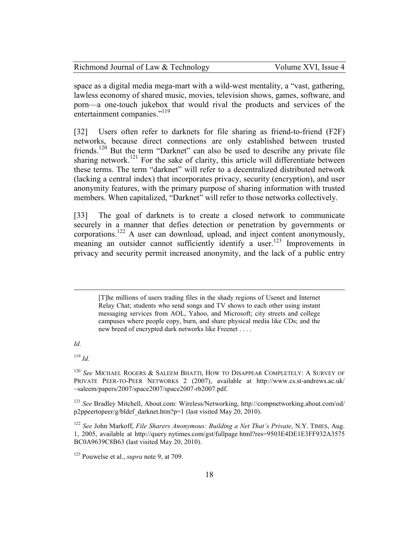| Richmond Journal of Law & Technology | Volume XVI, Issue 4 |
|--------------------------------------|---------------------|
|--------------------------------------|---------------------|

space as a digital media mega-mart with a wild-west mentality, a "vast, gathering, lawless economy of shared music, movies, television shows, games, software, and porn—a one-touch jukebox that would rival the products and services of the entertainment companies."<sup>119</sup>

[32] Users often refer to darknets for file sharing as friend-to-friend (F2F) networks, because direct connections are only established between trusted friends.<sup>120</sup> But the term "Darknet" can also be used to describe any private file sharing network.<sup>121</sup> For the sake of clarity, this article will differentiate between these terms. The term "darknet" will refer to a decentralized distributed network (lacking a central index) that incorporates privacy, security (encryption), and user anonymity features, with the primary purpose of sharing information with trusted members. When capitalized, "Darknet" will refer to those networks collectively.

[33] The goal of darknets is to create a closed network to communicate securely in a manner that defies detection or penetration by governments or corporations.<sup>122</sup> A user can download, upload, and inject content anonymously, meaning an outsider cannot sufficiently identify a user.<sup>123</sup> Improvements in privacy and security permit increased anonymity, and the lack of a public entry

*Id.* 

<u>.</u>

<sup>119</sup> *Id.*

<sup>[</sup>T]he millions of users trading files in the shady regions of Usenet and Internet Relay Chat; students who send songs and TV shows to each other using instant messaging services from AOL, Yahoo, and Microsoft; city streets and college campuses where people copy, burn, and share physical media like CDs; and the new breed of encrypted dark networks like Freenet . . . .

<sup>120</sup> *See* MICHAEL ROGERS & SALEEM BHATTI, HOW TO DISAPPEAR COMPLETELY: A SURVEY OF PRIVATE PEER-TO-PEER NETWORKS 2 (2007), available at http://www.cs.st-andrews.ac.uk/ ~saleem/papers/2007/space2007/space2007-rb2007.pdf.

<sup>121</sup> *See* Bradley Mitchell, About.com: Wireless/Networking, http://compnetworking.about.com/od/ p2ppeertopeer/g/bldef\_darknet.htm?p=1 (last visited May 20, 2010).

<sup>122</sup> *See* John Markoff, *File Sharers Anonymous: Building a Net That's Private*, N.Y. TIMES, Aug. 1, 2005, available at http://query nytimes.com/gst/fullpage html?res=9503E4DE1E3FF932A3575 BC0A9639C8B63 (last visited May 20, 2010).

<sup>123</sup> Pouwelse et al., *supra* note 9, at 709.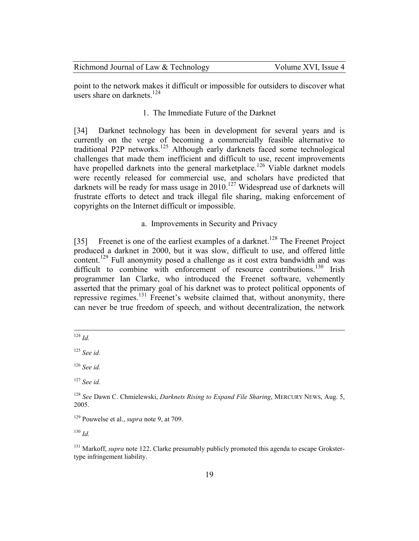| Richmond Journal of Law & Technology | Volume XVI, Issue 4 |
|--------------------------------------|---------------------|
|--------------------------------------|---------------------|

point to the network makes it difficult or impossible for outsiders to discover what users share on darknets  $124$ 

## 1. The Immediate Future of the Darknet

[34] Darknet technology has been in development for several years and is currently on the verge of becoming a commercially feasible alternative to traditional P2P networks.<sup>125</sup> Although early darknets faced some technological challenges that made them inefficient and difficult to use, recent improvements have propelled darknets into the general marketplace.<sup>126</sup> Viable darknet models were recently released for commercial use, and scholars have predicted that darknets will be ready for mass usage in 2010.<sup>127</sup> Widespread use of darknets will frustrate efforts to detect and track illegal file sharing, making enforcement of copyrights on the Internet difficult or impossible.

### a. Improvements in Security and Privacy

[35] Freenet is one of the earliest examples of a darknet.<sup>128</sup> The Freenet Project produced a darknet in 2000, but it was slow, difficult to use, and offered little content.<sup>129</sup> Full anonymity posed a challenge as it cost extra bandwidth and was difficult to combine with enforcement of resource contributions.<sup>130</sup> Irish programmer Ian Clarke, who introduced the Freenet software, vehemently asserted that the primary goal of his darknet was to protect political opponents of repressive regimes.<sup>131</sup> Freenet's website claimed that, without anonymity, there can never be true freedom of speech, and without decentralization, the network

<sup>130</sup> *Id.*

<sup>-</sup><sup>124</sup> *Id.*

<sup>125</sup> *See id.*

<sup>126</sup> *See id.*

<sup>127</sup> *See id.*

<sup>128</sup> *See* Dawn C. Chmielewski, *Darknets Rising to Expand File Sharing*, MERCURY NEWS, Aug. 5, 2005.

<sup>129</sup> Pouwelse et al., *supra* note 9, at 709.

<sup>&</sup>lt;sup>131</sup> Markoff, *supra* note 122. Clarke presumably publicly promoted this agenda to escape Grokstertype infringement liability.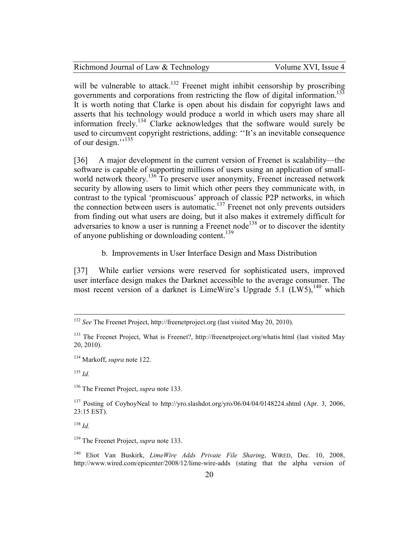Volume XVI, Issue 4

will be vulnerable to attack.<sup>132</sup> Freenet might inhibit censorship by proscribing governments and corporations from restricting the flow of digital information.<sup>133</sup> It is worth noting that Clarke is open about his disdain for copyright laws and asserts that his technology would produce a world in which users may share all information freely.<sup>134</sup> Clarke acknowledges that the software would surely be used to circumvent copyright restrictions, adding: ''It's an inevitable consequence of our design."<sup>135</sup>

[36] A major development in the current version of Freenet is scalability—the software is capable of supporting millions of users using an application of smallworld network theory.<sup>136</sup> To preserve user anonymity, Freenet increased network security by allowing users to limit which other peers they communicate with, in contrast to the typical 'promiscuous' approach of classic P2P networks, in which the connection between users is automatic.<sup>137</sup> Freenet not only prevents outsiders from finding out what users are doing, but it also makes it extremely difficult for adversaries to know a user is running a Freenet node<sup>138</sup> or to discover the identity of anyone publishing or downloading content.<sup>139</sup>

b. Improvements in User Interface Design and Mass Distribution

[37] While earlier versions were reserved for sophisticated users, improved user interface design makes the Darknet accessible to the average consumer. The most recent version of a darknet is LimeWire's Upgrade  $5.1$  (LW5),<sup>140</sup> which

<sup>135</sup> *Id.*

<u>.</u>

<sup>136</sup> The Freenet Project, *supra* note 133.

<sup>137</sup> Posting of CoyboyNeal to http://yro.slashdot.org/yro/06/04/04/0148224.shtml (Apr. 3, 2006, 23:15 EST).

<sup>138</sup> *Id.*

<sup>139</sup> The Freenet Project, *supra* note 133.

<sup>140</sup> Eliot Van Buskirk, *LimeWire Adds Private File Sharing*, WIRED, Dec. 10, 2008, http://www.wired.com/epicenter/2008/12/lime-wire-adds (stating that the alpha version of

<sup>132</sup> *See* The Freenet Project, http://freenetproject.org (last visited May 20, 2010).

<sup>&</sup>lt;sup>133</sup> The Freenet Project, What is Freenet?, http://freenetproject.org/whatis html (last visited May 20, 2010).

<sup>134</sup> Markoff, *supra* note 122.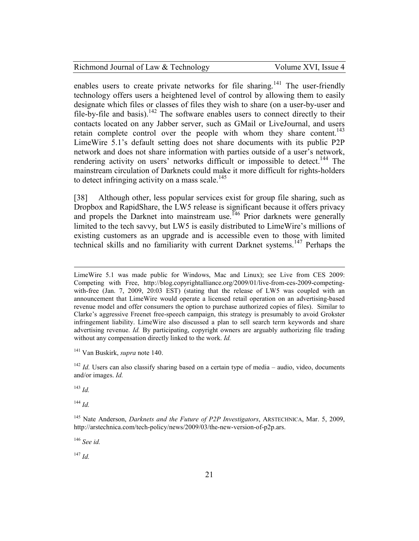enables users to create private networks for file sharing.<sup>141</sup> The user-friendly technology offers users a heightened level of control by allowing them to easily designate which files or classes of files they wish to share (on a user-by-user and file-by-file and basis).<sup>142</sup> The software enables users to connect directly to their contacts located on any Jabber server, such as GMail or LiveJournal, and users retain complete control over the people with whom they share content.<sup>143</sup> LimeWire 5.1's default setting does not share documents with its public P2P network and does not share information with parties outside of a user's network, rendering activity on users' networks difficult or impossible to detect.<sup>144</sup> The mainstream circulation of Darknets could make it more difficult for rights-holders to detect infringing activity on a mass scale.<sup>145</sup>

[38] Although other, less popular services exist for group file sharing, such as Dropbox and RapidShare, the LW5 release is significant because it offers privacy and propels the Darknet into mainstream use.<sup>146</sup> Prior darknets were generally limited to the tech savvy, but LW5 is easily distributed to LimeWire's millions of existing customers as an upgrade and is accessible even to those with limited technical skills and no familiarity with current Darknet systems.<sup>147</sup> Perhaps the

LimeWire 5.1 was made public for Windows, Mac and Linux); see Live from CES 2009: Competing with Free, http://blog.copyrightalliance.org/2009/01/live-from-ces-2009-competingwith-free (Jan. 7, 2009, 20:03 EST) (stating that the release of LW5 was coupled with an announcement that LimeWire would operate a licensed retail operation on an advertising-based revenue model and offer consumers the option to purchase authorized copies of files). Similar to Clarke's aggressive Freenet free-speech campaign, this strategy is presumably to avoid Grokster infringement liability. LimeWire also discussed a plan to sell search term keywords and share advertising revenue. *Id.* By participating, copyright owners are arguably authorizing file trading without any compensation directly linked to the work. *Id.*

<sup>141</sup> Van Buskirk, *supra* note 140.

<sup>142</sup> *Id.* Users can also classify sharing based on a certain type of media – audio, video, documents and/or images. *Id.*

<sup>143</sup> *Id.*

 $\overline{a}$ 

<sup>144</sup> *Id.*

<sup>146</sup> *See id.*

<sup>147</sup> *Id.*

<sup>145</sup> Nate Anderson, *Darknets and the Future of P2P Investigators*, ARSTECHNICA, Mar. 5, 2009, http://arstechnica.com/tech-policy/news/2009/03/the-new-version-of-p2p.ars.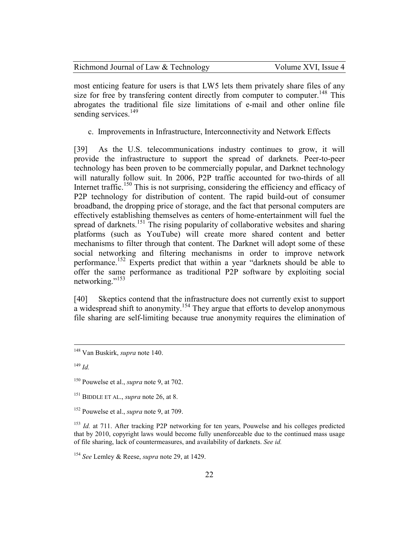| Richmond Journal of Law & Technology | Volume XVI, Issue 4 |
|--------------------------------------|---------------------|
|--------------------------------------|---------------------|

most enticing feature for users is that LW5 lets them privately share files of any size for free by transfering content directly from computer to computer.<sup>148</sup> This abrogates the traditional file size limitations of e-mail and other online file sending services.<sup>149</sup>

c. Improvements in Infrastructure, Interconnectivity and Network Effects

[39] As the U.S. telecommunications industry continues to grow, it will provide the infrastructure to support the spread of darknets. Peer-to-peer technology has been proven to be commercially popular, and Darknet technology will naturally follow suit. In 2006, P2P traffic accounted for two-thirds of all Internet traffic.<sup>150</sup> This is not surprising, considering the efficiency and efficacy of P2P technology for distribution of content. The rapid build-out of consumer broadband, the dropping price of storage, and the fact that personal computers are effectively establishing themselves as centers of home-entertainment will fuel the spread of darknets.<sup>151</sup> The rising popularity of collaborative websites and sharing platforms (such as YouTube) will create more shared content and better mechanisms to filter through that content. The Darknet will adopt some of these social networking and filtering mechanisms in order to improve network performance.<sup>152</sup> Experts predict that within a year "darknets should be able to offer the same performance as traditional P2P software by exploiting social networking."<sup>153</sup>

[40] Skeptics contend that the infrastructure does not currently exist to support a widespread shift to anonymity.<sup>154</sup> They argue that efforts to develop anonymous file sharing are self-limiting because true anonymity requires the elimination of

<sup>148</sup> Van Buskirk, *supra* note 140.

<sup>149</sup> *Id.*

<sup>150</sup> Pouwelse et al., *supra* note 9, at 702.

<sup>151</sup> BIDDLE ET AL., *supra* note 26, at 8.

<sup>152</sup> Pouwelse et al., *supra* note 9, at 709.

<sup>&</sup>lt;sup>153</sup> *Id.* at 711. After tracking P2P networking for ten years, Pouwelse and his colleges predicted that by 2010, copyright laws would become fully unenforceable due to the continued mass usage of file sharing, lack of countermeasures, and availability of darknets. *See id.*

<sup>154</sup> *See* Lemley & Reese, *supra* note 29, at 1429.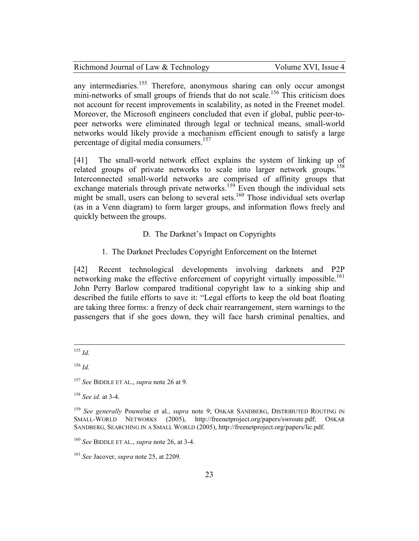| Richmond Journal of Law & Technology |  |  |  |
|--------------------------------------|--|--|--|
|                                      |  |  |  |

Volume XVI, Issue 4

any intermediaries.<sup>155</sup> Therefore, anonymous sharing can only occur amongst mini-networks of small groups of friends that do not scale.<sup>156</sup> This criticism does not account for recent improvements in scalability, as noted in the Freenet model. Moreover, the Microsoft engineers concluded that even if global, public peer-topeer networks were eliminated through legal or technical means, small-world networks would likely provide a mechanism efficient enough to satisfy a large percentage of digital media consumers.<sup>157</sup>

[41] The small-world network effect explains the system of linking up of related groups of private networks to scale into larger network groups.<sup>158</sup> Interconnected small-world networks are comprised of affinity groups that exchange materials through private networks.<sup>159</sup> Even though the individual sets might be small, users can belong to several sets.<sup>160</sup> Those individual sets overlap (as in a Venn diagram) to form larger groups, and information flows freely and quickly between the groups.

# D. The Darknet's Impact on Copyrights

1. The Darknet Precludes Copyright Enforcement on the Internet

[42] Recent technological developments involving darknets and P2P networking make the effective enforcement of copyright virtually impossible.<sup>161</sup> John Perry Barlow compared traditional copyright law to a sinking ship and described the futile efforts to save it: "Legal efforts to keep the old boat floating are taking three forms: a frenzy of deck chair rearrangement, stern warnings to the passengers that if she goes down, they will face harsh criminal penalties, and

<sup>&</sup>lt;u>.</u> <sup>155</sup> *Id.*

<sup>156</sup> *Id.*

<sup>157</sup> *See* BIDDLE ET AL., *supra* note 26 at 9.

<sup>158</sup> *See id.* at 3-4.

<sup>159</sup> *See generally* Pouwelse et al., *supra* note 9; OSKAR SANDBERG, DISTRIBUTED ROUTING IN SMALL-WORLD NETWORKS (2005), http://freenetproject.org/papers/swroute.pdf; OSKAR SANDBERG, SEARCHING IN A SMALL WORLD (2005), http://freenetproject.org/papers/lic.pdf.

<sup>160</sup> *See* BIDDLE ET AL., *supra* note 26, at 3-4.

<sup>161</sup> *See* Jacover, *supra* note 25, at 2209.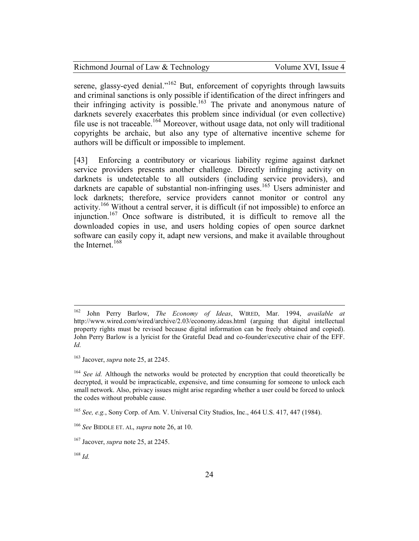| Richmond Journal of Law & Technology |  |
|--------------------------------------|--|
|--------------------------------------|--|

Volume XVI, Issue 4

serene, glassy-eyed denial."<sup>162</sup> But, enforcement of copyrights through lawsuits and criminal sanctions is only possible if identification of the direct infringers and their infringing activity is possible.<sup>163</sup> The private and anonymous nature of darknets severely exacerbates this problem since individual (or even collective) file use is not traceable.<sup>164</sup> Moreover, without usage data, not only will traditional copyrights be archaic, but also any type of alternative incentive scheme for authors will be difficult or impossible to implement.

[43] Enforcing a contributory or vicarious liability regime against darknet service providers presents another challenge. Directly infringing activity on darknets is undetectable to all outsiders (including service providers), and darknets are capable of substantial non-infringing uses.<sup>165</sup> Users administer and lock darknets; therefore, service providers cannot monitor or control any activity.<sup>166</sup> Without a central server, it is difficult (if not impossible) to enforce an injunction.<sup>167</sup> Once software is distributed, it is difficult to remove all the downloaded copies in use, and users holding copies of open source darknet software can easily copy it, adapt new versions, and make it available throughout the Internet. $168$ 

<sup>162</sup> <sup>162</sup> John Perry Barlow, *The Economy of Ideas*, WIRED, Mar. 1994, *available at* http://www.wired.com/wired/archive/2.03/economy.ideas.html (arguing that digital intellectual property rights must be revised because digital information can be freely obtained and copied). John Perry Barlow is a lyricist for the Grateful Dead and co-founder/executive chair of the EFF. *Id.*

<sup>163</sup> Jacover, *supra* note 25, at 2245.

<sup>&</sup>lt;sup>164</sup> *See id.* Although the networks would be protected by encryption that could theoretically be decrypted, it would be impracticable, expensive, and time consuming for someone to unlock each small network. Also, privacy issues might arise regarding whether a user could be forced to unlock the codes without probable cause.

<sup>165</sup> *See, e.g.*, Sony Corp. of Am. V. Universal City Studios, Inc., 464 U.S. 417, 447 (1984).

<sup>166</sup> *See* BIDDLE ET. AL, *supra* note 26, at 10.

<sup>167</sup> Jacover, *supra* note 25, at 2245.

<sup>168</sup> *Id.*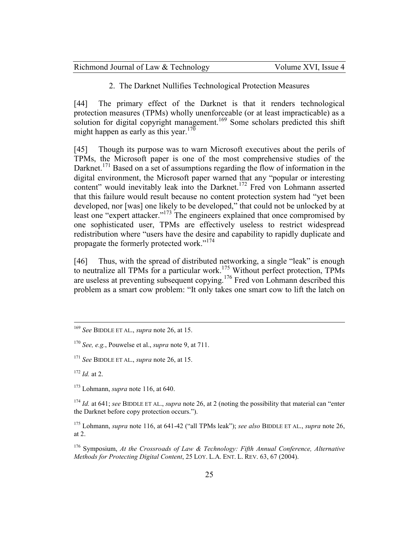| Richmond Journal of Law & Technology | Volume XVI, Issue 4 |
|--------------------------------------|---------------------|
|--------------------------------------|---------------------|

2. The Darknet Nullifies Technological Protection Measures

[44] The primary effect of the Darknet is that it renders technological protection measures (TPMs) wholly unenforceable (or at least impracticable) as a solution for digital copyright management.<sup>169</sup> Some scholars predicted this shift might happen as early as this year.<sup>170</sup>

[45] Though its purpose was to warn Microsoft executives about the perils of TPMs, the Microsoft paper is one of the most comprehensive studies of the Darknet.<sup>171</sup> Based on a set of assumptions regarding the flow of information in the digital environment, the Microsoft paper warned that any "popular or interesting content" would inevitably leak into the Darknet.<sup>172</sup> Fred von Lohmann asserted that this failure would result because no content protection system had "yet been developed, nor [was] one likely to be developed," that could not be unlocked by at least one "expert attacker."<sup>173</sup> The engineers explained that once compromised by one sophisticated user, TPMs are effectively useless to restrict widespread redistribution where "users have the desire and capability to rapidly duplicate and propagate the formerly protected work."<sup>174</sup>

[46] Thus, with the spread of distributed networking, a single "leak" is enough to neutralize all TPMs for a particular work.<sup>175</sup> Without perfect protection, TPMs are useless at preventing subsequent copying.<sup>176</sup> Fred von Lohmann described this problem as a smart cow problem: "It only takes one smart cow to lift the latch on

<sup>169</sup> *See* BIDDLE ET AL., *supra* note 26, at 15.

<sup>170</sup> *See, e.g.*, Pouwelse et al., *supra* note 9, at 711.

<sup>171</sup> *See* BIDDLE ET AL., *supra* note 26, at 15.

<sup>172</sup> *Id.* at 2.

<sup>173</sup> Lohmann, *supra* note 116, at 640.

<sup>174</sup> *Id.* at 641; *see* BIDDLE ET AL., *supra* note 26, at 2 (noting the possibility that material can "enter the Darknet before copy protection occurs.").

<sup>175</sup> Lohmann, *supra* note 116, at 641-42 ("all TPMs leak"); *see also* BIDDLE ET AL., *supra* note 26, at 2.

<sup>176</sup> Symposium, *At the Crossroads of Law & Technology: Fifth Annual Conference, Alternative Methods for Protecting Digital Content*, 25 LOY. L.A. ENT. L. REV. 63, 67 (2004).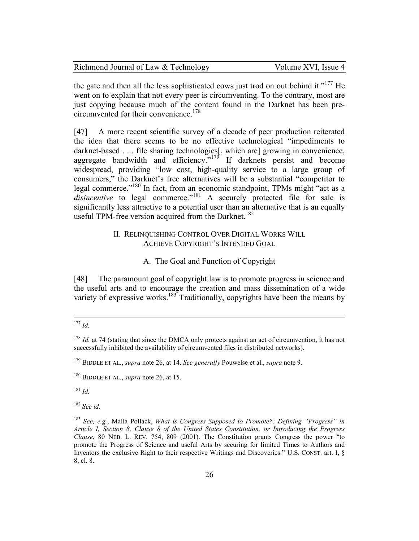| Richmond Journal of Law & Technology | Volume XVI, Issue 4 |
|--------------------------------------|---------------------|
|--------------------------------------|---------------------|

the gate and then all the less sophisticated cows just trod on out behind it."<sup>177</sup> He went on to explain that not every peer is circumventing. To the contrary, most are just copying because much of the content found in the Darknet has been precircumvented for their convenience.<sup>178</sup>

[47] A more recent scientific survey of a decade of peer production reiterated the idea that there seems to be no effective technological "impediments to darknet-based . . . file sharing technologies[, which are] growing in convenience, aggregate bandwidth and efficiency."<sup>179</sup> If darknets persist and become widespread, providing "low cost, high-quality service to a large group of consumers," the Darknet's free alternatives will be a substantial "competitor to legal commerce."<sup>180</sup> In fact, from an economic standpoint, TPMs might "act as a *disincentive* to legal commerce."<sup>181</sup> A securely protected file for sale is significantly less attractive to a potential user than an alternative that is an equally useful TPM-free version acquired from the Darknet.<sup>182</sup>

# II. RELINQUISHING CONTROL OVER DIGITAL WORKS WILL ACHIEVE COPYRIGHT'S INTENDED GOAL

### A. The Goal and Function of Copyright

[48] The paramount goal of copyright law is to promote progress in science and the useful arts and to encourage the creation and mass dissemination of a wide variety of expressive works.<sup>183</sup> Traditionally, copyrights have been the means by

<sup>181</sup> *Id.*

<sup>182</sup> *See id.*

 $\overline{a}$ <sup>177</sup> *Id.*

<sup>&</sup>lt;sup>178</sup> *Id.* at 74 (stating that since the DMCA only protects against an act of circumvention, it has not successfully inhibited the availability of circumvented files in distributed networks).

<sup>179</sup> BIDDLE ET AL., *supra* note 26, at 14. *See generally* Pouwelse et al., *supra* note 9.

<sup>180</sup> BIDDLE ET AL., *supra* note 26, at 15.

<sup>183</sup> *See, e.g.*, Malla Pollack, *What is Congress Supposed to Promote?: Defining "Progress" in Article I, Section 8, Clause 8 of the United States Constitution, or Introducing the Progress Clause*, 80 NEB. L. REV. 754, 809 (2001). The Constitution grants Congress the power "to promote the Progress of Science and useful Arts by securing for limited Times to Authors and Inventors the exclusive Right to their respective Writings and Discoveries." U.S. CONST. art. I, § 8, cl. 8.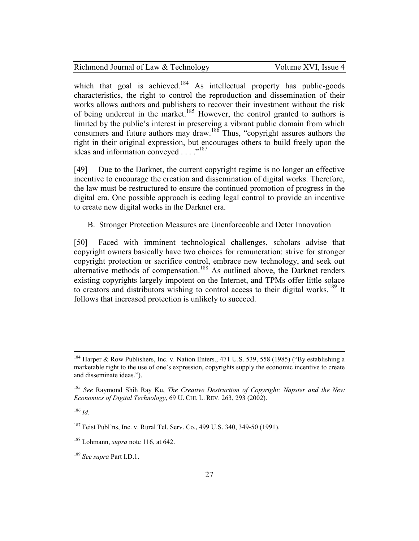| Richmond Journal of Law & Technology |  |
|--------------------------------------|--|
|--------------------------------------|--|

Volume XVI, Issue 4

which that goal is achieved.<sup>184</sup> As intellectual property has public-goods characteristics, the right to control the reproduction and dissemination of their works allows authors and publishers to recover their investment without the risk of being undercut in the market.<sup>185</sup> However, the control granted to authors is limited by the public's interest in preserving a vibrant public domain from which consumers and future authors may draw.<sup>186</sup> Thus, "copyright assures authors the right in their original expression, but encourages others to build freely upon the ideas and information conveyed . . . ."<sup>187</sup>

[49] Due to the Darknet, the current copyright regime is no longer an effective incentive to encourage the creation and dissemination of digital works. Therefore, the law must be restructured to ensure the continued promotion of progress in the digital era. One possible approach is ceding legal control to provide an incentive to create new digital works in the Darknet era.

### B. Stronger Protection Measures are Unenforceable and Deter Innovation

[50] Faced with imminent technological challenges, scholars advise that copyright owners basically have two choices for remuneration: strive for stronger copyright protection or sacrifice control, embrace new technology, and seek out alternative methods of compensation.<sup>188</sup> As outlined above, the Darknet renders existing copyrights largely impotent on the Internet, and TPMs offer little solace to creators and distributors wishing to control access to their digital works.<sup>189</sup> It follows that increased protection is unlikely to succeed.

<sup>&</sup>lt;sup>184</sup> Harper & Row Publishers, Inc. v. Nation Enters., 471 U.S. 539, 558 (1985) ("By establishing a marketable right to the use of one's expression, copyrights supply the economic incentive to create and disseminate ideas.").

<sup>185</sup> *See* Raymond Shih Ray Ku, *The Creative Destruction of Copyright: Napster and the New Economics of Digital Technology*, 69 U. CHI. L. REV. 263, 293 (2002).

<sup>186</sup> *Id.*

<sup>&</sup>lt;sup>187</sup> Feist Publ'ns, Inc. v. Rural Tel. Serv. Co., 499 U.S. 340, 349-50 (1991).

<sup>188</sup> Lohmann, *supra* note 116, at 642.

<sup>189</sup> *See supra* Part I.D.1.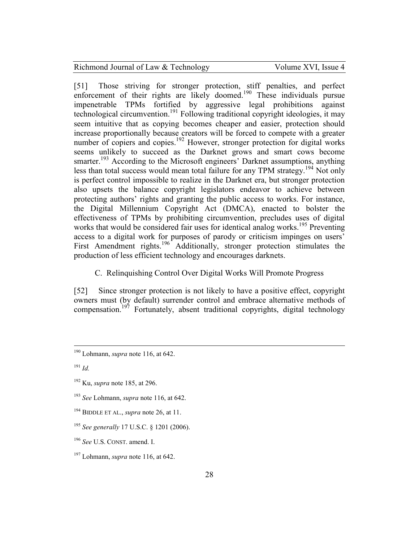[51] Those striving for stronger protection, stiff penalties, and perfect enforcement of their rights are likely doomed.<sup>190</sup> These individuals pursue impenetrable TPMs fortified by aggressive legal prohibitions against technological circumvention.<sup>191</sup> Following traditional copyright ideologies, it may seem intuitive that as copying becomes cheaper and easier, protection should increase proportionally because creators will be forced to compete with a greater number of copiers and copies.<sup>192</sup> However, stronger protection for digital works seems unlikely to succeed as the Darknet grows and smart cows become smarter.<sup>193</sup> According to the Microsoft engineers' Darknet assumptions, anything less than total success would mean total failure for any TPM strategy.<sup>194</sup> Not only is perfect control impossible to realize in the Darknet era, but stronger protection also upsets the balance copyright legislators endeavor to achieve between protecting authors' rights and granting the public access to works. For instance, the Digital Millennium Copyright Act (DMCA), enacted to bolster the effectiveness of TPMs by prohibiting circumvention, precludes uses of digital works that would be considered fair uses for identical analog works.<sup>195</sup> Preventing access to a digital work for purposes of parody or criticism impinges on users' First Amendment rights.<sup>196</sup> Additionally, stronger protection stimulates the production of less efficient technology and encourages darknets.

C. Relinquishing Control Over Digital Works Will Promote Progress

[52] Since stronger protection is not likely to have a positive effect, copyright owners must (by default) surrender control and embrace alternative methods of compensation.<sup>197</sup> Fortunately, absent traditional copyrights, digital technology

 $\overline{a}$ 

<sup>195</sup> *See generally* 17 U.S.C. § 1201 (2006).

<sup>190</sup> Lohmann, *supra* note 116, at 642.

<sup>191</sup> *Id.*

<sup>192</sup> Ku, *supra* note 185, at 296.

<sup>193</sup> *See* Lohmann, *supra* note 116, at 642.

<sup>194</sup> BIDDLE ET AL., *supra* note 26, at 11.

<sup>196</sup> *See* U.S. CONST. amend. I.

<sup>197</sup> Lohmann, *supra* note 116, at 642.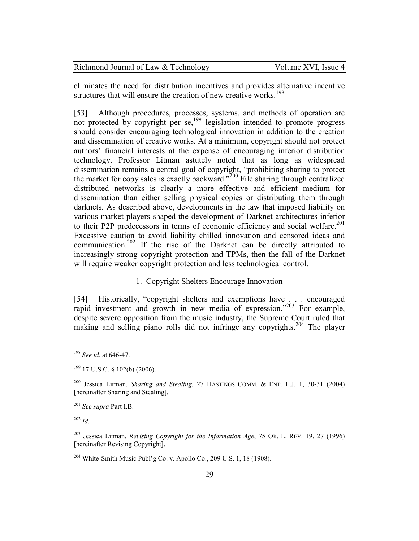| Richmond Journal of Law & Technology | Volume XVI, Issue 4 |
|--------------------------------------|---------------------|
|--------------------------------------|---------------------|

eliminates the need for distribution incentives and provides alternative incentive structures that will ensure the creation of new creative works.<sup>198</sup>

[53] Although procedures, processes, systems, and methods of operation are not protected by copyright per se, $199$  legislation intended to promote progress should consider encouraging technological innovation in addition to the creation and dissemination of creative works. At a minimum, copyright should not protect authors' financial interests at the expense of encouraging inferior distribution technology. Professor Litman astutely noted that as long as widespread dissemination remains a central goal of copyright, "prohibiting sharing to protect the market for copy sales is exactly backward."<sup>200</sup> File sharing through centralized distributed networks is clearly a more effective and efficient medium for dissemination than either selling physical copies or distributing them through darknets. As described above, developments in the law that imposed liability on various market players shaped the development of Darknet architectures inferior to their P2P predecessors in terms of economic efficiency and social welfare.<sup>201</sup> Excessive caution to avoid liability chilled innovation and censored ideas and communication.<sup>202</sup> If the rise of the Darknet can be directly attributed to increasingly strong copyright protection and TPMs, then the fall of the Darknet will require weaker copyright protection and less technological control.

1. Copyright Shelters Encourage Innovation

[54] Historically, "copyright shelters and exemptions have . . . encouraged rapid investment and growth in new media of expression."<sup>203</sup> For example, despite severe opposition from the music industry, the Supreme Court ruled that making and selling piano rolls did not infringe any copyrights.<sup>204</sup> The player

<sup>201</sup> *See supra* Part I.B.

<sup>202</sup> *Id.*

-

<sup>198</sup> *See id.* at 646-47.

 $199$  17 U.S.C. § 102(b) (2006).

<sup>200</sup> Jessica Litman, *Sharing and Stealing*, 27 HASTINGS COMM. & ENT. L.J. 1, 30-31 (2004) [hereinafter Sharing and Stealing].

<sup>203</sup> Jessica Litman, *Revising Copyright for the Information Age*, 75 OR. L. REV. 19, 27 (1996) [hereinafter Revising Copyright].

<sup>&</sup>lt;sup>204</sup> White-Smith Music Publ'g Co. v. Apollo Co., 209 U.S. 1, 18 (1908).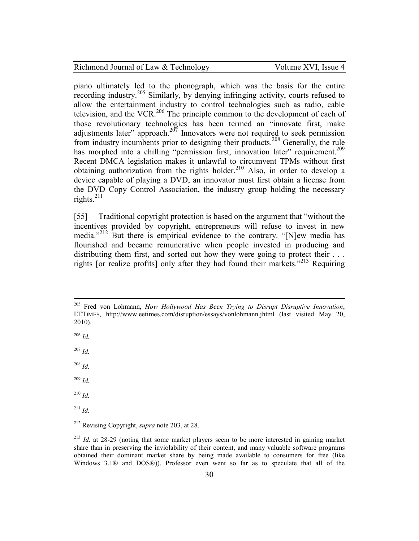piano ultimately led to the phonograph, which was the basis for the entire recording industry.<sup>205</sup> Similarly, by denying infringing activity, courts refused to allow the entertainment industry to control technologies such as radio, cable television, and the VCR.<sup>206</sup> The principle common to the development of each of those revolutionary technologies has been termed an "innovate first, make adjustments later" approach. $207$  Innovators were not required to seek permission from industry incumbents prior to designing their products.<sup>208</sup> Generally, the rule has morphed into a chilling "permission first, innovation later" requirement.<sup>209</sup> Recent DMCA legislation makes it unlawful to circumvent TPMs without first obtaining authorization from the rights holder.<sup>210</sup> Also, in order to develop a device capable of playing a DVD, an innovator must first obtain a license from the DVD Copy Control Association, the industry group holding the necessary rights. $^{211}$ 

[55] Traditional copyright protection is based on the argument that "without the incentives provided by copyright, entrepreneurs will refuse to invest in new media."<sup>212</sup> But there is empirical evidence to the contrary. "[N]ew media has flourished and became remunerative when people invested in producing and distributing them first, and sorted out how they were going to protect their . . . rights [or realize profits] only after they had found their markets."<sup>213</sup> Requiring

<sup>206</sup> *Id.*

<u>.</u>

<sup>207</sup> *Id.*

<sup>208</sup> *Id.*

<sup>209</sup> *Id.*

<sup>210</sup> *Id.*

<sup>211</sup> *Id.*

<sup>205</sup> Fred von Lohmann, *How Hollywood Has Been Trying to Disrupt Disruptive Innovation*, EETIMES, http://www.eetimes.com/disruption/essays/vonlohmann.jhtml (last visited May 20, 2010).

<sup>212</sup> Revising Copyright, *supra* note 203, at 28.

<sup>213</sup> *Id.* at 28-29 (noting that some market players seem to be more interested in gaining market share than in preserving the inviolability of their content, and many valuable software programs obtained their dominant market share by being made available to consumers for free (like Windows 3.1® and DOS®)). Professor even went so far as to speculate that all of the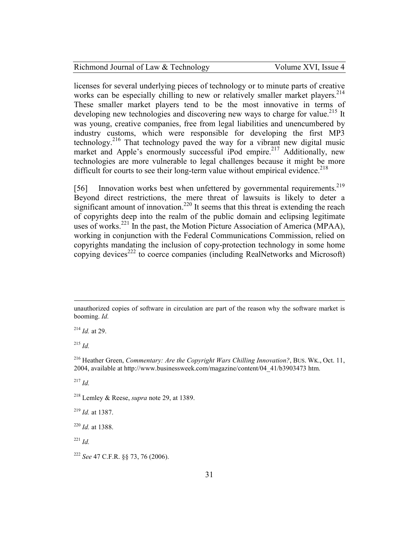| Richmond Journal of Law & Technology | Volume XVI, Issue 4 |
|--------------------------------------|---------------------|
|--------------------------------------|---------------------|

licenses for several underlying pieces of technology or to minute parts of creative works can be especially chilling to new or relatively smaller market players.<sup>214</sup> These smaller market players tend to be the most innovative in terms of developing new technologies and discovering new ways to charge for value.<sup>215</sup> It was young, creative companies, free from legal liabilities and unencumbered by industry customs, which were responsible for developing the first MP3 technology.<sup>216</sup> That technology paved the way for a vibrant new digital music market and Apple's enormously successful iPod empire.<sup>217</sup> Additionally, new technologies are more vulnerable to legal challenges because it might be more difficult for courts to see their long-term value without empirical evidence.<sup>218</sup>

[56] Innovation works best when unfettered by governmental requirements.<sup>219</sup> Beyond direct restrictions, the mere threat of lawsuits is likely to deter a significant amount of innovation.<sup>220</sup> It seems that this threat is extending the reach of copyrights deep into the realm of the public domain and eclipsing legitimate uses of works.<sup>221</sup> In the past, the Motion Picture Association of America (MPAA), working in conjunction with the Federal Communications Commission, relied on copyrights mandating the inclusion of copy-protection technology in some home copying devices<sup>222</sup> to coerce companies (including RealNetworks and Microsoft)

<sup>214</sup> *Id.* at 29.

<sup>215</sup> *Id.*

<u>.</u>

<sup>216</sup> Heather Green, *Commentary: Are the Copyright Wars Chilling Innovation?*, BUS. WK., Oct. 11, 2004, available at http://www.businessweek.com/magazine/content/04\_41/b3903473 htm.

<sup>217</sup> *Id.*

<sup>218</sup> Lemley & Reese, *supra* note 29, at 1389.

<sup>219</sup> *Id.* at 1387.

<sup>220</sup> *Id.* at 1388.

<sup>221</sup> *Id.*

<sup>222</sup> *See* 47 C.F.R. §§ 73, 76 (2006).

unauthorized copies of software in circulation are part of the reason why the software market is booming. *Id.*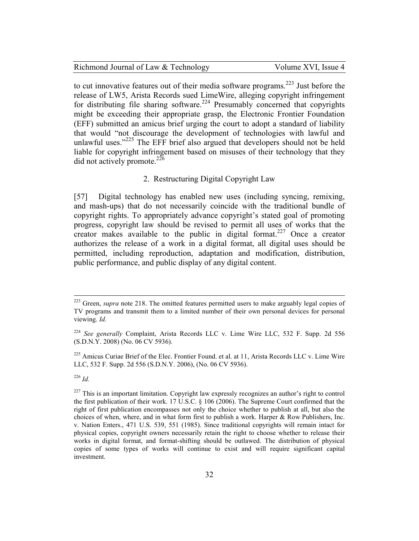to cut innovative features out of their media software programs.<sup>223</sup> Just before the release of LW5, Arista Records sued LimeWire, alleging copyright infringement for distributing file sharing software.<sup>224</sup> Presumably concerned that copyrights might be exceeding their appropriate grasp, the Electronic Frontier Foundation (EFF) submitted an amicus brief urging the court to adopt a standard of liability that would "not discourage the development of technologies with lawful and unlawful uses." $225$  The EFF brief also argued that developers should not be held liable for copyright infringement based on misuses of their technology that they did not actively promote. $^{226}$ 

#### 2. Restructuring Digital Copyright Law

[57] Digital technology has enabled new uses (including syncing, remixing, and mash-ups) that do not necessarily coincide with the traditional bundle of copyright rights. To appropriately advance copyright's stated goal of promoting progress, copyright law should be revised to permit all uses of works that the creator makes available to the public in digital format.<sup>227</sup> Once a creator authorizes the release of a work in a digital format, all digital uses should be permitted, including reproduction, adaptation and modification, distribution, public performance, and public display of any digital content.

<sup>225</sup> Amicus Curiae Brief of the Elec. Frontier Found. et al. at 11, Arista Records LLC v. Lime Wire LLC, 532 F. Supp. 2d 556 (S.D.N.Y. 2006), (No. 06 CV 5936).

<sup>226</sup> *Id.*

 $\overline{a}$ 

<sup>&</sup>lt;sup>223</sup> Green, *supra* note 218. The omitted features permitted users to make arguably legal copies of TV programs and transmit them to a limited number of their own personal devices for personal viewing. *Id.*

<sup>224</sup> *See generally* Complaint, Arista Records LLC v. Lime Wire LLC, 532 F. Supp. 2d 556 (S.D.N.Y. 2008) (No. 06 CV 5936).

 $227$  This is an important limitation. Copyright law expressly recognizes an author's right to control the first publication of their work. 17 U.S.C. § 106 (2006). The Supreme Court confirmed that the right of first publication encompasses not only the choice whether to publish at all, but also the choices of when, where, and in what form first to publish a work. Harper & Row Publishers, Inc. v. Nation Enters., 471 U.S. 539, 551 (1985). Since traditional copyrights will remain intact for physical copies, copyright owners necessarily retain the right to choose whether to release their works in digital format, and format-shifting should be outlawed. The distribution of physical copies of some types of works will continue to exist and will require significant capital investment.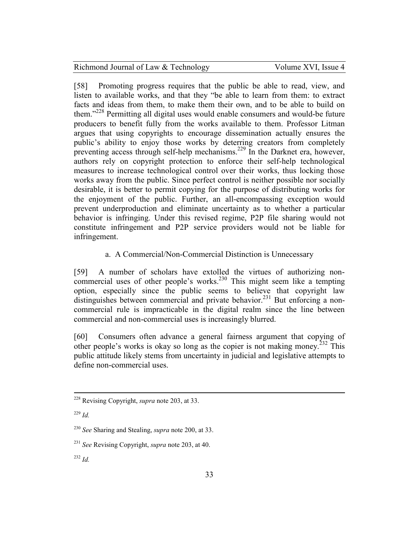[58] Promoting progress requires that the public be able to read, view, and listen to available works, and that they "be able to learn from them: to extract facts and ideas from them, to make them their own, and to be able to build on them."<sup>228</sup> Permitting all digital uses would enable consumers and would-be future producers to benefit fully from the works available to them. Professor Litman argues that using copyrights to encourage dissemination actually ensures the public's ability to enjoy those works by deterring creators from completely preventing access through self-help mechanisms.<sup>229</sup> In the Darknet era, however, authors rely on copyright protection to enforce their self-help technological measures to increase technological control over their works, thus locking those works away from the public. Since perfect control is neither possible nor socially desirable, it is better to permit copying for the purpose of distributing works for the enjoyment of the public. Further, an all-encompassing exception would prevent underproduction and eliminate uncertainty as to whether a particular behavior is infringing. Under this revised regime, P2P file sharing would not constitute infringement and P2P service providers would not be liable for infringement.

# a. A Commercial/Non-Commercial Distinction is Unnecessary

[59] A number of scholars have extolled the virtues of authorizing noncommercial uses of other people's works.<sup>230</sup> This might seem like a tempting option, especially since the public seems to believe that copyright law distinguishes between commercial and private behavior.<sup>231</sup> But enforcing a noncommercial rule is impracticable in the digital realm since the line between commercial and non-commercial uses is increasingly blurred.

[60] Consumers often advance a general fairness argument that copying of other people's works is okay so long as the copier is not making money.<sup>232</sup> This public attitude likely stems from uncertainty in judicial and legislative attempts to define non-commercial uses.

-

<sup>228</sup> Revising Copyright, *supra* note 203, at 33.

<sup>229</sup> *Id.*

<sup>230</sup> *See* Sharing and Stealing, *supra* note 200, at 33.

<sup>231</sup> *See* Revising Copyright, *supra* note 203, at 40.

<sup>232</sup> *Id.*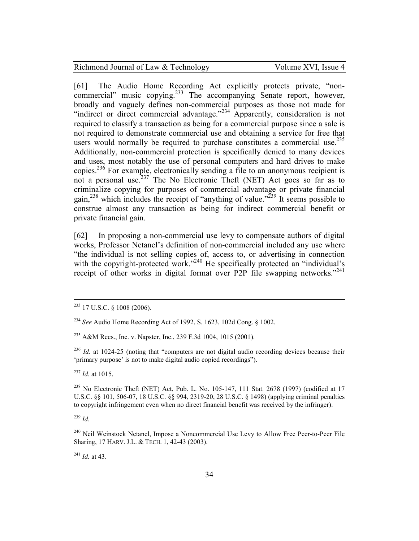[61] The Audio Home Recording Act explicitly protects private, "noncommercial" music copying.<sup>233</sup> The accompanying Senate report, however, broadly and vaguely defines non-commercial purposes as those not made for "indirect or direct commercial advantage."<sup>234</sup> Apparently, consideration is not required to classify a transaction as being for a commercial purpose since a sale is not required to demonstrate commercial use and obtaining a service for free that users would normally be required to purchase constitutes a commercial use.<sup>235</sup> Additionally, non-commercial protection is specifically denied to many devices and uses, most notably the use of personal computers and hard drives to make copies.<sup>236</sup> For example, electronically sending a file to an anonymous recipient is not a personal use.<sup>237</sup> The No Electronic Theft (NET) Act goes so far as to criminalize copying for purposes of commercial advantage or private financial gain,<sup>238</sup> which includes the receipt of "anything of value."<sup>239</sup> It seems possible to construe almost any transaction as being for indirect commercial benefit or private financial gain.

[62] In proposing a non-commercial use levy to compensate authors of digital works, Professor Netanel's definition of non-commercial included any use where "the individual is not selling copies of, access to, or advertising in connection with the copyright-protected work."<sup>240</sup> He specifically protected an "individual's receipt of other works in digital format over P2P file swapping networks."<sup>241</sup>

<sup>235</sup> A&M Recs., Inc. v. Napster, Inc., 239 F.3d 1004, 1015 (2001).

<sup>236</sup> *Id.* at 1024-25 (noting that "computers are not digital audio recording devices because their 'primary purpose' is not to make digital audio copied recordings").

<sup>237</sup> *Id.* at 1015.

<sup>238</sup> No Electronic Theft (NET) Act, Pub. L. No. 105-147, 111 Stat. 2678 (1997) (codified at 17 U.S.C. §§ 101, 506-07, 18 U.S.C. §§ 994, 2319-20, 28 U.S.C. § 1498) (applying criminal penalties to copyright infringement even when no direct financial benefit was received by the infringer).

<sup>239</sup> *Id.*

<u>.</u>

<sup>241</sup> *Id.* at 43.

 $233$  17 U.S.C. § 1008 (2006).

<sup>234</sup> *See* Audio Home Recording Act of 1992, S. 1623, 102d Cong. § 1002.

<sup>&</sup>lt;sup>240</sup> Neil Weinstock Netanel, Impose a Noncommercial Use Levy to Allow Free Peer-to-Peer File Sharing, 17 HARV. J.L. & TECH. 1, 42-43 (2003).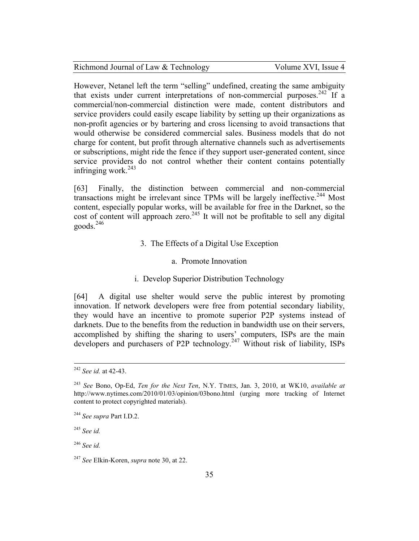| Richmond Journal of Law & Technology | Volume XVI, Issue 4 |
|--------------------------------------|---------------------|
|--------------------------------------|---------------------|

However, Netanel left the term "selling" undefined, creating the same ambiguity that exists under current interpretations of non-commercial purposes.<sup>242</sup> If a commercial/non-commercial distinction were made, content distributors and service providers could easily escape liability by setting up their organizations as non-profit agencies or by bartering and cross licensing to avoid transactions that would otherwise be considered commercial sales. Business models that do not charge for content, but profit through alternative channels such as advertisements or subscriptions, might ride the fence if they support user-generated content, since service providers do not control whether their content contains potentially infringing work.<sup>243</sup>

[63] Finally, the distinction between commercial and non-commercial transactions might be irrelevant since TPMs will be largely ineffective.<sup>244</sup> Most content, especially popular works, will be available for free in the Darknet, so the cost of content will approach zero.<sup>245</sup> It will not be profitable to sell any digital  $\text{goods.}^{246}$ 

### 3. The Effects of a Digital Use Exception

#### a. Promote Innovation

## i. Develop Superior Distribution Technology

[64] A digital use shelter would serve the public interest by promoting innovation. If network developers were free from potential secondary liability, they would have an incentive to promote superior P2P systems instead of darknets. Due to the benefits from the reduction in bandwidth use on their servers, accomplished by shifting the sharing to users' computers, ISPs are the main developers and purchasers of P2P technology.<sup>247</sup> Without risk of liability, ISPs

l

<sup>246</sup> *See id.*

<sup>242</sup> *See id.* at 42-43.

<sup>243</sup> *See* Bono, Op-Ed, *Ten for the Next Ten*, N.Y. TIMES, Jan. 3, 2010, at WK10, *available at* http://www.nytimes.com/2010/01/03/opinion/03bono.html (urging more tracking of Internet content to protect copyrighted materials).

<sup>244</sup> *See supra* Part I.D.2.

<sup>245</sup> *See id.*

<sup>247</sup> *See* Elkin-Koren, *supra* note 30, at 22.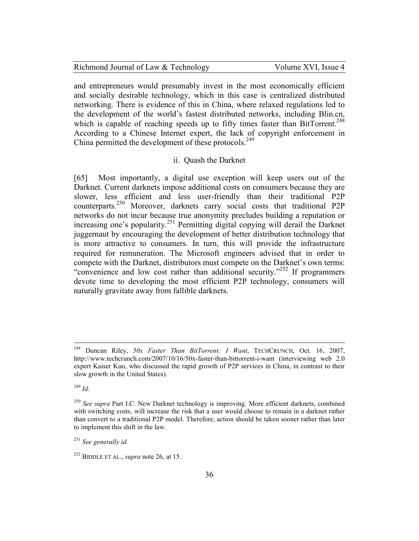and entrepreneurs would presumably invest in the most economically efficient and socially desirable technology, which in this case is centralized distributed networking. There is evidence of this in China, where relaxed regulations led to the development of the world's fastest distributed networks, including Blin.cn, which is capable of reaching speeds up to fifty times faster than  $BitTorrent$ .<sup>248</sup> According to a Chinese Internet expert, the lack of copyright enforcement in China permitted the development of these protocols.<sup>249</sup>

#### ii. Quash the Darknet

[65] Most importantly, a digital use exception will keep users out of the Darknet. Current darknets impose additional costs on consumers because they are slower, less efficient and less user-friendly than their traditional P2P counterparts.<sup>250</sup> Moreover, darknets carry social costs that traditional P2P networks do not incur because true anonymity precludes building a reputation or increasing one's popularity.<sup>251</sup> Permitting digital copying will derail the Darknet juggernaut by encouraging the development of better distribution technology that is more attractive to consumers. In turn, this will provide the infrastructure required for remuneration. The Microsoft engineers advised that in order to compete with the Darknet, distributors must compete on the Darknet's own terms: "convenience and low cost rather than additional security."<sup>252</sup> If programmers devote time to developing the most efficient P2P technology, consumers will naturally gravitate away from fallible darknets.

<sup>249</sup> *Id.*

<sup>248</sup> Duncan Riley, *50x Faster Than BitTorrent: I Want*, TECHCRUNCH, Oct. 16, 2007, http://www.techcrunch.com/2007/10/16/50x-faster-than-bittorrent-i-want (interviewing web 2.0 expert Kaiser Kuo, who discussed the rapid growth of P2P services in China, in contrast to their slow growth in the United States).

<sup>&</sup>lt;sup>250</sup> See supra Part I.C. New Darknet technology is improving. More efficient darknets, combined with switching costs, will increase the risk that a user would choose to remain in a darknet rather than convert to a traditional P2P model. Therefore, action should be taken sooner rather than later to implement this shift in the law.

<sup>251</sup> *See generally id.*

<sup>252</sup> BIDDLE ET AL., *supra* note 26, at 15.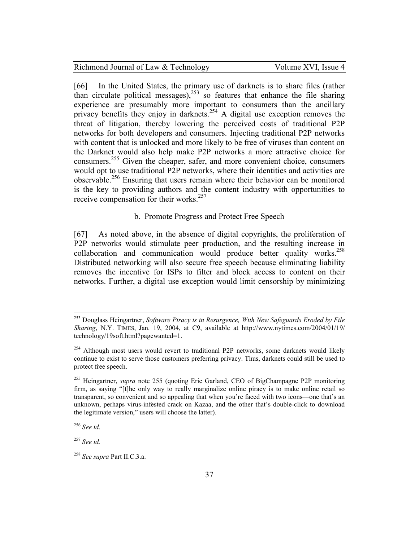[66] In the United States, the primary use of darknets is to share files (rather than circulate political messages), $^{253}$  so features that enhance the file sharing experience are presumably more important to consumers than the ancillary privacy benefits they enjoy in darknets.<sup>254</sup> A digital use exception removes the threat of litigation, thereby lowering the perceived costs of traditional P2P networks for both developers and consumers. Injecting traditional P2P networks with content that is unlocked and more likely to be free of viruses than content on the Darknet would also help make P2P networks a more attractive choice for consumers.<sup>255</sup> Given the cheaper, safer, and more convenient choice, consumers would opt to use traditional P2P networks, where their identities and activities are observable.<sup>256</sup> Ensuring that users remain where their behavior can be monitored is the key to providing authors and the content industry with opportunities to receive compensation for their works.<sup>257</sup>

#### b. Promote Progress and Protect Free Speech

[67] As noted above, in the absence of digital copyrights, the proliferation of P2P networks would stimulate peer production, and the resulting increase in collaboration and communication would produce better quality works.<sup>258</sup> Distributed networking will also secure free speech because eliminating liability removes the incentive for ISPs to filter and block access to content on their networks. Further, a digital use exception would limit censorship by minimizing

<sup>256</sup> *See id.*

<u>.</u>

<sup>257</sup> *See id.*

<sup>253</sup> Douglass Heingartner, *Software Piracy is in Resurgence, With New Safeguards Eroded by File Sharing*, N.Y. TIMES, Jan. 19, 2004, at C9, available at http://www.nytimes.com/2004/01/19/ technology/19soft.html?pagewanted=1.

 $254$  Although most users would revert to traditional P2P networks, some darknets would likely continue to exist to serve those customers preferring privacy. Thus, darknets could still be used to protect free speech.

<sup>255</sup> Heingartner, *supra* note 255 (quoting Eric Garland, CEO of BigChampagne P2P monitoring firm, as saying "[t]he only way to really marginalize online piracy is to make online retail so transparent, so convenient and so appealing that when you're faced with two icons—one that's an unknown, perhaps virus-infested crack on Kazaa, and the other that's double-click to download the legitimate version," users will choose the latter).

<sup>258</sup> *See supra* Part II.C.3.a.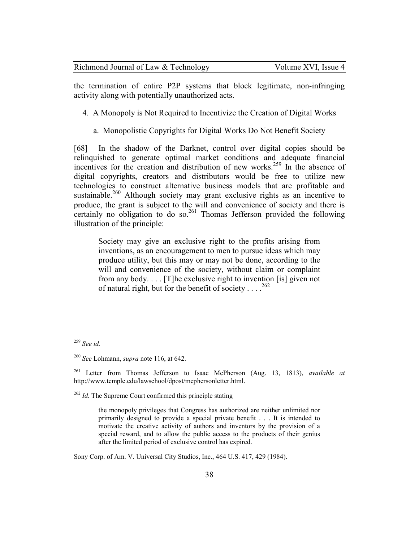| Richmond Journal of Law & Technology | Volume XVI, Issue 4 |
|--------------------------------------|---------------------|
|--------------------------------------|---------------------|

the termination of entire P2P systems that block legitimate, non-infringing activity along with potentially unauthorized acts.

- 4. A Monopoly is Not Required to Incentivize the Creation of Digital Works
	- a. Monopolistic Copyrights for Digital Works Do Not Benefit Society

[68] In the shadow of the Darknet, control over digital copies should be relinquished to generate optimal market conditions and adequate financial incentives for the creation and distribution of new works.<sup>259</sup> In the absence of digital copyrights, creators and distributors would be free to utilize new technologies to construct alternative business models that are profitable and sustainable.<sup>260</sup> Although society may grant exclusive rights as an incentive to produce, the grant is subject to the will and convenience of society and there is certainly no obligation to do so.<sup>261</sup> Thomas Jefferson provided the following illustration of the principle:

Society may give an exclusive right to the profits arising from inventions, as an encouragement to men to pursue ideas which may produce utility, but this may or may not be done, according to the will and convenience of the society, without claim or complaint from any body. . . . [T]he exclusive right to invention [is] given not of natural right, but for the benefit of society . . . .  $^{262}$ 

 $\overline{a}$ 

Sony Corp. of Am. V. Universal City Studios, Inc., 464 U.S. 417, 429 (1984).

<sup>259</sup> *See id.*

<sup>260</sup> *See* Lohmann, *supra* note 116, at 642.

<sup>261</sup> Letter from Thomas Jefferson to Isaac McPherson (Aug. 13, 1813), *available at* http://www.temple.edu/lawschool/dpost/mcphersonletter.html.

<sup>&</sup>lt;sup>262</sup> *Id.* The Supreme Court confirmed this principle stating

the monopoly privileges that Congress has authorized are neither unlimited nor primarily designed to provide a special private benefit . . . It is intended to motivate the creative activity of authors and inventors by the provision of a special reward, and to allow the public access to the products of their genius after the limited period of exclusive control has expired.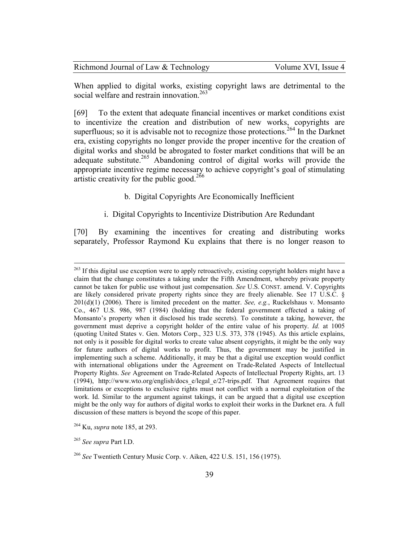| Richmond Journal of Law & Technology | Volume XVI, Issue 4 |
|--------------------------------------|---------------------|
|--------------------------------------|---------------------|

When applied to digital works, existing copyright laws are detrimental to the social welfare and restrain innovation.<sup>263</sup>

[69] To the extent that adequate financial incentives or market conditions exist to incentivize the creation and distribution of new works, copyrights are superfluous; so it is advisable not to recognize those protections.<sup>264</sup> In the Darknet era, existing copyrights no longer provide the proper incentive for the creation of digital works and should be abrogated to foster market conditions that will be an adequate substitute.<sup>265</sup> Abandoning control of digital works will provide the appropriate incentive regime necessary to achieve copyright's goal of stimulating artistic creativity for the public good.<sup>266</sup>

# b. Digital Copyrights Are Economically Inefficient

# i. Digital Copyrights to Incentivize Distribution Are Redundant

[70] By examining the incentives for creating and distributing works separately, Professor Raymond Ku explains that there is no longer reason to

<sup>265</sup> *See supra* Part I.D.

-

<sup>&</sup>lt;sup>263</sup> If this digital use exception were to apply retroactively, existing copyright holders might have a claim that the change constitutes a taking under the Fifth Amendment, whereby private property cannot be taken for public use without just compensation. *See* U.S. CONST. amend. V. Copyrights are likely considered private property rights since they are freely alienable. See 17 U.S.C. § 201(d)(1) (2006). There is limited precedent on the matter. *See, e.g.*, Ruckelshaus v. Monsanto Co., 467 U.S. 986, 987 (1984) (holding that the federal government effected a taking of Monsanto's property when it disclosed his trade secrets). To constitute a taking, however, the government must deprive a copyright holder of the entire value of his property. *Id.* at 1005 (quoting United States v. Gen. Motors Corp., 323 U.S. 373, 378 (1945). As this article explains, not only is it possible for digital works to create value absent copyrights, it might be the only way for future authors of digital works to profit. Thus, the government may be justified in implementing such a scheme. Additionally, it may be that a digital use exception would conflict with international obligations under the Agreement on Trade-Related Aspects of Intellectual Property Rights. *See* Agreement on Trade-Related Aspects of Intellectual Property Rights, art. 13 (1994), http://www.wto.org/english/docs\_e/legal\_e/27-trips.pdf. That Agreement requires that limitations or exceptions to exclusive rights must not conflict with a normal exploitation of the work. Id. Similar to the argument against takings, it can be argued that a digital use exception might be the only way for authors of digital works to exploit their works in the Darknet era. A full discussion of these matters is beyond the scope of this paper.

<sup>264</sup> Ku, *supra* note 185, at 293.

<sup>266</sup> *See* Twentieth Century Music Corp. v. Aiken, 422 U.S. 151, 156 (1975).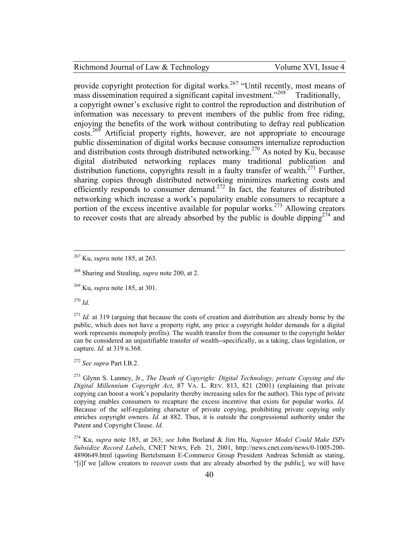provide copyright protection for digital works.<sup>267</sup> "Until recently, most means of mass dissemination required a significant capital investment.<sup>2268</sup> Traditionally, a copyright owner's exclusive right to control the reproduction and distribution of information was necessary to prevent members of the public from free riding, enjoying the benefits of the work without contributing to defray real publication  $\cos$ <sup>269</sup> Artificial property rights, however, are not appropriate to encourage public dissemination of digital works because consumers internalize reproduction and distribution costs through distributed networking.<sup>270</sup> As noted by Ku, because digital distributed networking replaces many traditional publication and distribution functions, copyrights result in a faulty transfer of wealth.<sup>271</sup> Further, sharing copies through distributed networking minimizes marketing costs and efficiently responds to consumer demand.<sup>272</sup> In fact, the features of distributed networking which increase a work's popularity enable consumers to recapture a portion of the excess incentive available for popular works.<sup>273</sup> Allowing creators to recover costs that are already absorbed by the public is double dipping  $2^{74}$  and

<sup>270</sup> *Id.*

<u>.</u>

<sup>271</sup> *Id.* at 319 (arguing that because the costs of creation and distribution are already borne by the public, which does not have a property right, any price a copyright holder demands for a digital work represents monopoly profits). The wealth transfer from the consumer to the copyright holder can be considered an unjustifiable transfer of wealth--specifically, as a taking, class legislation, or capture. *Id.* at 319 n.368.

<sup>272</sup> *See supra* Part I.B.2.

<sup>273</sup> Glynn S. Lunney, Jr., *The Death of Copyright: Digital Technology, private Copying and the Digital Millennium Copyright Act*, 87 VA. L. REV. 813, 821 (2001) (explaining that private copying can boost a work's popularity thereby increasing sales for the author). This type of private copying enables consumers to recapture the excess incentive that exists for popular works. *Id.* Because of the self-regulating character of private copying, prohibiting private copying only enriches copyright owners. *Id.* at 882. Thus, it is outside the congressional authority under the Patent and Copyright Clause. *Id.*

<sup>274</sup> Ku, *supra* note 185, at 263; *see* John Borland & Jim Hu, *Napster Model Could Make ISPs Subsidize Record Labels*, CNET NEWS, Feb. 21, 2001, http://news.cnet.com/news/0-1005-200- 4890649.html (quoting Bertelsmann E-Commerce Group President Andreas Schmidt as stating, "[i]f we [allow creators to recover costs that are already absorbed by the public], we will have

<sup>267</sup> Ku, *supra* note 185, at 263.

<sup>268</sup> Sharing and Stealing, *supra* note 200, at 2.

<sup>269</sup> Ku, *supra* note 185, at 301.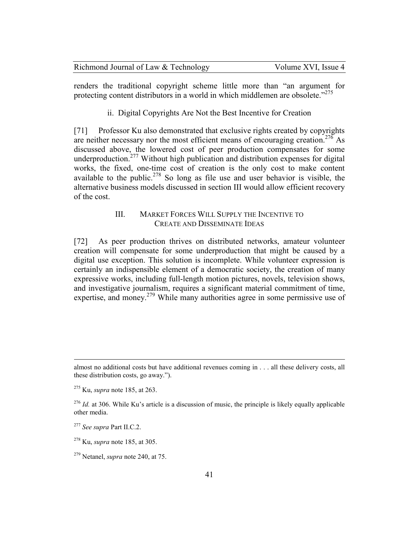| Richmond Journal of Law & Technology | Volume XVI, Issue 4 |
|--------------------------------------|---------------------|
|--------------------------------------|---------------------|

renders the traditional copyright scheme little more than "an argument for protecting content distributors in a world in which middlemen are obsolete."<sup>275</sup>

ii. Digital Copyrights Are Not the Best Incentive for Creation

[71] Professor Ku also demonstrated that exclusive rights created by copyrights are neither necessary nor the most efficient means of encouraging creation.<sup>276</sup> As discussed above, the lowered cost of peer production compensates for some underproduction.<sup>277</sup> Without high publication and distribution expenses for digital works, the fixed, one-time cost of creation is the only cost to make content available to the public.<sup>278</sup> So long as file use and user behavior is visible, the alternative business models discussed in section III would allow efficient recovery of the cost.

# III. MARKET FORCES WILL SUPPLY THE INCENTIVE TO CREATE AND DISSEMINATE IDEAS

[72] As peer production thrives on distributed networks, amateur volunteer creation will compensate for some underproduction that might be caused by a digital use exception. This solution is incomplete. While volunteer expression is certainly an indispensible element of a democratic society, the creation of many expressive works, including full-length motion pictures, novels, television shows, and investigative journalism, requires a significant material commitment of time, expertise, and money.<sup>279</sup> While many authorities agree in some permissive use of

 $\overline{a}$ 

almost no additional costs but have additional revenues coming in . . . all these delivery costs, all these distribution costs, go away.").

<sup>275</sup> Ku, *supra* note 185, at 263.

<sup>&</sup>lt;sup>276</sup> *Id.* at 306. While Ku's article is a discussion of music, the principle is likely equally applicable other media.

<sup>277</sup> *See supra* Part II.C.2.

<sup>278</sup> Ku, *supra* note 185, at 305.

<sup>279</sup> Netanel, *supra* note 240, at 75.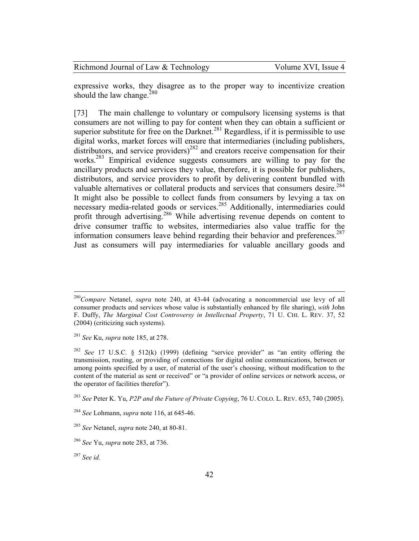| Richmond Journal of Law & Technology | Volume XVI, Issue 4 |
|--------------------------------------|---------------------|
|--------------------------------------|---------------------|

expressive works, they disagree as to the proper way to incentivize creation should the law change. $280$ 

[73] The main challenge to voluntary or compulsory licensing systems is that consumers are not willing to pay for content when they can obtain a sufficient or superior substitute for free on the Darknet.<sup>281</sup> Regardless, if it is permissible to use digital works, market forces will ensure that intermediaries (including publishers, distributors, and service providers)<sup>282</sup> and creators receive compensation for their works.<sup>283</sup> Empirical evidence suggests consumers are willing to pay for the ancillary products and services they value, therefore, it is possible for publishers, distributors, and service providers to profit by delivering content bundled with valuable alternatives or collateral products and services that consumers desire.<sup>284</sup> It might also be possible to collect funds from consumers by levying a tax on necessary media-related goods or services.<sup>285</sup> Additionally, intermediaries could profit through advertising.<sup>286</sup> While advertising revenue depends on content to drive consumer traffic to websites, intermediaries also value traffic for the information consumers leave behind regarding their behavior and preferences.<sup>287</sup> Just as consumers will pay intermediaries for valuable ancillary goods and

-

<sup>280</sup>*Compare* Netanel, *supra* note 240, at 43-44 (advocating a noncommercial use levy of all consumer products and services whose value is substantially enhanced by file sharing), *with* John F. Duffy, *The Marginal Cost Controversy in Intellectual Property*, 71 U. CHI. L. REV. 37, 52 (2004) (criticizing such systems).

<sup>281</sup> *See* Ku, *supra* note 185, at 278.

<sup>282</sup> *See* 17 U.S.C. § 512(k) (1999) (defining "service provider" as "an entity offering the transmission, routing, or providing of connections for digital online communications, between or among points specified by a user, of material of the user's choosing, without modification to the content of the material as sent or received" or "a provider of online services or network access, or the operator of facilities therefor").

<sup>283</sup> *See* Peter K. Yu, *P2P and the Future of Private Copying*, 76 U. COLO. L. REV. 653, 740 (2005).

<sup>284</sup> *See* Lohmann, *supra* note 116, at 645-46.

<sup>285</sup> *See* Netanel, *supra* note 240, at 80-81.

<sup>286</sup> *See* Yu, *supra* note 283, at 736.

<sup>287</sup> *See id.*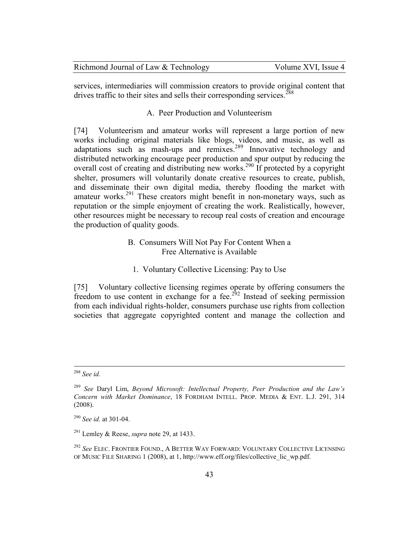| Richmond Journal of Law & Technology | Volume XVI, Issue 4 |
|--------------------------------------|---------------------|
|--------------------------------------|---------------------|

services, intermediaries will commission creators to provide original content that drives traffic to their sites and sells their corresponding services.<sup>288</sup>

## A. Peer Production and Volunteerism

[74] Volunteerism and amateur works will represent a large portion of new works including original materials like blogs, videos, and music, as well as adaptations such as mash-ups and remixes.<sup>289</sup> Innovative technology and distributed networking encourage peer production and spur output by reducing the overall cost of creating and distributing new works.<sup>290</sup> If protected by a copyright shelter, prosumers will voluntarily donate creative resources to create, publish, and disseminate their own digital media, thereby flooding the market with amateur works.<sup>291</sup> These creators might benefit in non-monetary ways, such as reputation or the simple enjoyment of creating the work. Realistically, however, other resources might be necessary to recoup real costs of creation and encourage the production of quality goods.

# B. Consumers Will Not Pay For Content When a Free Alternative is Available

1. Voluntary Collective Licensing: Pay to Use

[75] Voluntary collective licensing regimes operate by offering consumers the freedom to use content in exchange for a fee.<sup>292</sup> Instead of seeking permission from each individual rights-holder, consumers purchase use rights from collection societies that aggregate copyrighted content and manage the collection and

<sup>288</sup> *See id.*

<sup>289</sup> *See* Daryl Lim, *Beyond Microsoft: Intellectual Property, Peer Production and the Law's Concern with Market Dominance*, 18 FORDHAM INTELL. PROP. MEDIA & ENT. L.J. 291, 314 (2008).

<sup>290</sup> *See id.* at 301-04.

<sup>291</sup> Lemley & Reese, *supra* note 29, at 1433.

<sup>292</sup> *See* ELEC. FRONTIER FOUND., A BETTER WAY FORWARD: VOLUNTARY COLLECTIVE LICENSING OF MUSIC FILE SHARING 1 (2008), at 1, http://www.eff.org/files/collective\_lic\_wp.pdf.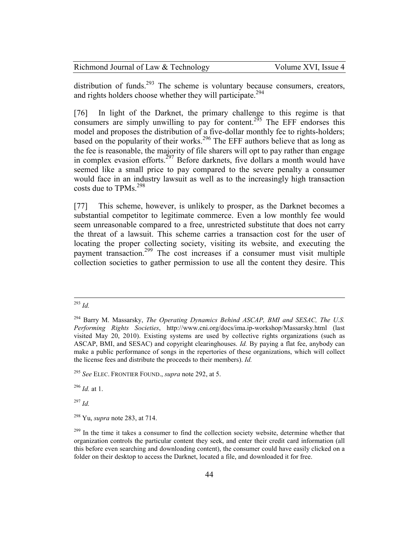| Richmond Journal of Law & Technology | Volume XVI, Issue 4 |
|--------------------------------------|---------------------|
|--------------------------------------|---------------------|

distribution of funds.<sup>293</sup> The scheme is voluntary because consumers, creators, and rights holders choose whether they will participate.<sup>294</sup>

[76] In light of the Darknet, the primary challenge to this regime is that consumers are simply unwilling to pay for content.<sup>295</sup> The EFF endorses this model and proposes the distribution of a five-dollar monthly fee to rights-holders; based on the popularity of their works.<sup>296</sup> The EFF authors believe that as long as the fee is reasonable, the majority of file sharers will opt to pay rather than engage in complex evasion efforts.<sup>297</sup> Before darknets, five dollars a month would have seemed like a small price to pay compared to the severe penalty a consumer would face in an industry lawsuit as well as to the increasingly high transaction costs due to TPMs.<sup>298</sup>

[77] This scheme, however, is unlikely to prosper, as the Darknet becomes a substantial competitor to legitimate commerce. Even a low monthly fee would seem unreasonable compared to a free, unrestricted substitute that does not carry the threat of a lawsuit. This scheme carries a transaction cost for the user of locating the proper collecting society, visiting its website, and executing the payment transaction.<sup>299</sup> The cost increases if a consumer must visit multiple collection societies to gather permission to use all the content they desire. This

<sup>296</sup> *Id.* at 1.

<sup>297</sup> *Id.*

<sup>&</sup>lt;u>.</u> <sup>293</sup> *Id.*

<sup>294</sup> Barry M. Massarsky, *The Operating Dynamics Behind ASCAP, BMI and SESAC, The U.S. Performing Rights Societies*, http://www.cni.org/docs/ima.ip-workshop/Massarsky.html (last visited May 20, 2010). Existing systems are used by collective rights organizations (such as ASCAP, BMI, and SESAC) and copyright clearinghouses. *Id.* By paying a flat fee, anybody can make a public performance of songs in the repertories of these organizations, which will collect the license fees and distribute the proceeds to their members). *Id.*

<sup>295</sup> *See* ELEC. FRONTIER FOUND., *supra* note 292, at 5.

<sup>298</sup> Yu, *supra* note 283, at 714.

 $299$  In the time it takes a consumer to find the collection society website, determine whether that organization controls the particular content they seek, and enter their credit card information (all this before even searching and downloading content), the consumer could have easily clicked on a folder on their desktop to access the Darknet, located a file, and downloaded it for free.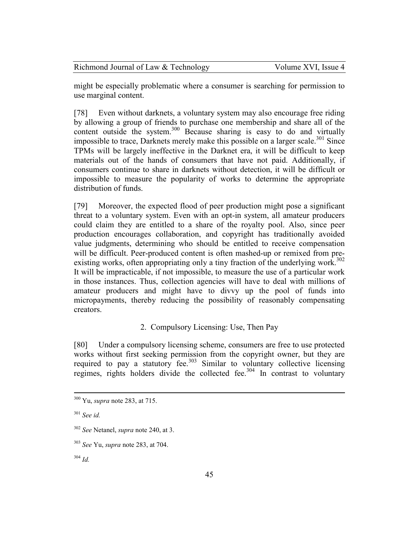| Richmond Journal of Law & Technology | Volume XVI, Issue 4 |
|--------------------------------------|---------------------|
|--------------------------------------|---------------------|

might be especially problematic where a consumer is searching for permission to use marginal content.

[78] Even without darknets, a voluntary system may also encourage free riding by allowing a group of friends to purchase one membership and share all of the content outside the system. $300$  Because sharing is easy to do and virtually impossible to trace, Darknets merely make this possible on a larger scale.<sup>301</sup> Since TPMs will be largely ineffective in the Darknet era, it will be difficult to keep materials out of the hands of consumers that have not paid. Additionally, if consumers continue to share in darknets without detection, it will be difficult or impossible to measure the popularity of works to determine the appropriate distribution of funds.

[79] Moreover, the expected flood of peer production might pose a significant threat to a voluntary system. Even with an opt-in system, all amateur producers could claim they are entitled to a share of the royalty pool. Also, since peer production encourages collaboration, and copyright has traditionally avoided value judgments, determining who should be entitled to receive compensation will be difficult. Peer-produced content is often mashed-up or remixed from preexisting works, often appropriating only a tiny fraction of the underlying work.<sup>302</sup> It will be impracticable, if not impossible, to measure the use of a particular work in those instances. Thus, collection agencies will have to deal with millions of amateur producers and might have to divvy up the pool of funds into micropayments, thereby reducing the possibility of reasonably compensating creators.

# 2. Compulsory Licensing: Use, Then Pay

[80] Under a compulsory licensing scheme, consumers are free to use protected works without first seeking permission from the copyright owner, but they are required to pay a statutory fee. $303$  Similar to voluntary collective licensing regimes, rights holders divide the collected fee.<sup>304</sup> In contrast to voluntary

 $\overline{a}$ 

<sup>304</sup> *Id.*

<sup>300</sup> Yu, *supra* note 283, at 715.

<sup>301</sup> *See id.*

<sup>302</sup> *See* Netanel, *supra* note 240, at 3.

<sup>303</sup> *See* Yu, *supra* note 283, at 704.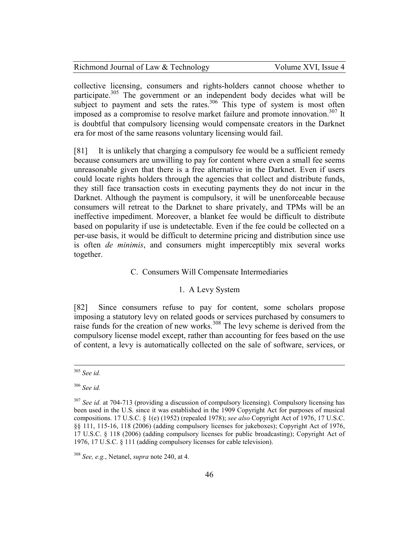| Richmond Journal of Law & Technology | Volume XVI, Issue 4 |
|--------------------------------------|---------------------|
|--------------------------------------|---------------------|

collective licensing, consumers and rights-holders cannot choose whether to participate.<sup>305</sup> The government or an independent body decides what will be subject to payment and sets the rates. $306$  This type of system is most often imposed as a compromise to resolve market failure and promote innovation.<sup>307</sup> It is doubtful that compulsory licensing would compensate creators in the Darknet era for most of the same reasons voluntary licensing would fail.

[81] It is unlikely that charging a compulsory fee would be a sufficient remedy because consumers are unwilling to pay for content where even a small fee seems unreasonable given that there is a free alternative in the Darknet. Even if users could locate rights holders through the agencies that collect and distribute funds, they still face transaction costs in executing payments they do not incur in the Darknet. Although the payment is compulsory, it will be unenforceable because consumers will retreat to the Darknet to share privately, and TPMs will be an ineffective impediment. Moreover, a blanket fee would be difficult to distribute based on popularity if use is undetectable. Even if the fee could be collected on a per-use basis, it would be difficult to determine pricing and distribution since use is often *de minimis*, and consumers might imperceptibly mix several works together.

### C. Consumers Will Compensate Intermediaries

## 1. A Levy System

[82] Since consumers refuse to pay for content, some scholars propose imposing a statutory levy on related goods or services purchased by consumers to raise funds for the creation of new works.<sup>308</sup> The levy scheme is derived from the compulsory license model except, rather than accounting for fees based on the use of content, a levy is automatically collected on the sale of software, services, or

<sup>305</sup> *See id.*

<sup>306</sup> *See id.*

<sup>&</sup>lt;sup>307</sup> *See id.* at 704-713 (providing a discussion of compulsory licensing). Compulsory licensing has been used in the U.S. since it was established in the 1909 Copyright Act for purposes of musical compositions. 17 U.S.C. § 1(e) (1952) (repealed 1978); *see also* Copyright Act of 1976, 17 U.S.C. §§ 111, 115-16, 118 (2006) (adding compulsory licenses for jukeboxes); Copyright Act of 1976, 17 U.S.C. § 118 (2006) (adding compulsory licenses for public broadcasting); Copyright Act of 1976, 17 U.S.C. § 111 (adding compulsory licenses for cable television).

<sup>308</sup> *See, e.g.*, Netanel, *supra* note 240, at 4.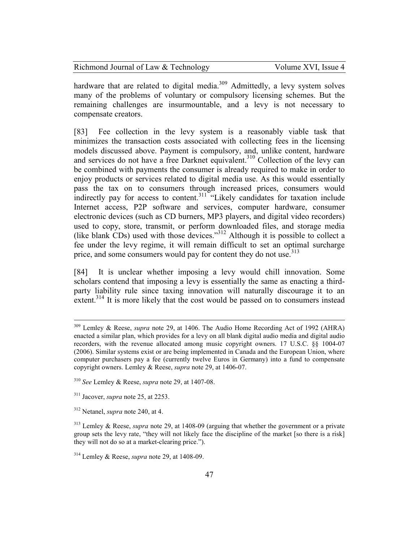| Richmond Journal of Law & Technology | Volume XVI, Issue 4 |
|--------------------------------------|---------------------|
|--------------------------------------|---------------------|

hardware that are related to digital media.<sup>309</sup> Admittedly, a levy system solves many of the problems of voluntary or compulsory licensing schemes. But the remaining challenges are insurmountable, and a levy is not necessary to compensate creators.

[83] Fee collection in the levy system is a reasonably viable task that minimizes the transaction costs associated with collecting fees in the licensing models discussed above. Payment is compulsory, and, unlike content, hardware and services do not have a free Darknet equivalent.<sup>310</sup> Collection of the levy can be combined with payments the consumer is already required to make in order to enjoy products or services related to digital media use. As this would essentially pass the tax on to consumers through increased prices, consumers would indirectly pay for access to content.<sup>311</sup> "Likely candidates for taxation include Internet access, P2P software and services, computer hardware, consumer electronic devices (such as CD burners, MP3 players, and digital video recorders) used to copy, store, transmit, or perform downloaded files, and storage media (like blank CDs) used with those devices."<sup>312</sup> Although it is possible to collect a fee under the levy regime, it will remain difficult to set an optimal surcharge price, and some consumers would pay for content they do not use.<sup>313</sup>

[84] It is unclear whether imposing a levy would chill innovation. Some scholars contend that imposing a levy is essentially the same as enacting a thirdparty liability rule since taxing innovation will naturally discourage it to an extent.<sup>314</sup> It is more likely that the cost would be passed on to consumers instead

<sup>309</sup> Lemley & Reese, *supra* note 29, at 1406. The Audio Home Recording Act of 1992 (AHRA) enacted a similar plan, which provides for a levy on all blank digital audio media and digital audio recorders, with the revenue allocated among music copyright owners. 17 U.S.C. §§ 1004-07 (2006). Similar systems exist or are being implemented in Canada and the European Union, where computer purchasers pay a fee (currently twelve Euros in Germany) into a fund to compensate copyright owners. Lemley & Reese, *supra* note 29, at 1406-07.

<sup>310</sup> *See* Lemley & Reese, *supra* note 29, at 1407-08.

<sup>311</sup> Jacover, *supra* note 25, at 2253.

<sup>312</sup> Netanel, *supra* note 240, at 4.

<sup>313</sup> Lemley & Reese, *supra* note 29, at 1408-09 (arguing that whether the government or a private group sets the levy rate, "they will not likely face the discipline of the market [so there is a risk] they will not do so at a market-clearing price.").

<sup>314</sup> Lemley & Reese, *supra* note 29, at 1408-09.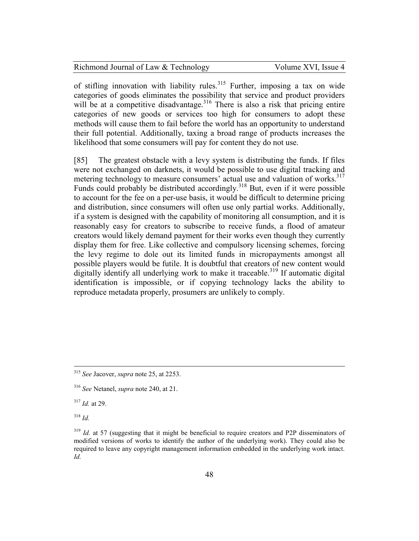| Richmond Journal of Law & Technology | Vol |  |  |
|--------------------------------------|-----|--|--|
|--------------------------------------|-----|--|--|

ume XVI, Issue 4

of stifling innovation with liability rules.<sup>315</sup> Further, imposing a tax on wide categories of goods eliminates the possibility that service and product providers will be at a competitive disadvantage.<sup>316</sup> There is also a risk that pricing entire categories of new goods or services too high for consumers to adopt these methods will cause them to fail before the world has an opportunity to understand their full potential. Additionally, taxing a broad range of products increases the likelihood that some consumers will pay for content they do not use.

[85] The greatest obstacle with a levy system is distributing the funds. If files were not exchanged on darknets, it would be possible to use digital tracking and metering technology to measure consumers' actual use and valuation of works.<sup>317</sup> Funds could probably be distributed accordingly.<sup>318</sup> But, even if it were possible to account for the fee on a per-use basis, it would be difficult to determine pricing and distribution, since consumers will often use only partial works. Additionally, if a system is designed with the capability of monitoring all consumption, and it is reasonably easy for creators to subscribe to receive funds, a flood of amateur creators would likely demand payment for their works even though they currently display them for free. Like collective and compulsory licensing schemes, forcing the levy regime to dole out its limited funds in micropayments amongst all possible players would be futile. It is doubtful that creators of new content would digitally identify all underlying work to make it traceable.<sup>319</sup> If automatic digital identification is impossible, or if copying technology lacks the ability to reproduce metadata properly, prosumers are unlikely to comply.

<sup>317</sup> *Id.* at 29.

<sup>318</sup> *Id.*

 $\overline{a}$ 

<sup>315</sup> *See* Jacover, *supra* note 25, at 2253.

<sup>316</sup> *See* Netanel, *supra* note 240, at 21.

<sup>&</sup>lt;sup>319</sup> *Id.* at 57 (suggesting that it might be beneficial to require creators and P2P disseminators of modified versions of works to identify the author of the underlying work). They could also be required to leave any copyright management information embedded in the underlying work intact. *Id.*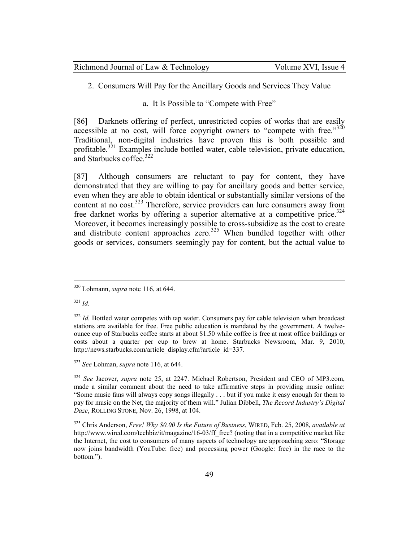| Richmond Journal of Law & Technology | Volume XVI, Issue 4 |
|--------------------------------------|---------------------|
|--------------------------------------|---------------------|

2. Consumers Will Pay for the Ancillary Goods and Services They Value

a. It Is Possible to "Compete with Free"

[86] Darknets offering of perfect, unrestricted copies of works that are easily accessible at no cost, will force copyright owners to "compete with free." $320$ Traditional, non-digital industries have proven this is both possible and profitable.<sup>321</sup> Examples include bottled water, cable television, private education, and Starbucks coffee.<sup>322</sup>

[87] Although consumers are reluctant to pay for content, they have demonstrated that they are willing to pay for ancillary goods and better service, even when they are able to obtain identical or substantially similar versions of the content at no cost.<sup>323</sup> Therefore, service providers can lure consumers away from free darknet works by offering a superior alternative at a competitive price.<sup>324</sup> Moreover, it becomes increasingly possible to cross-subsidize as the cost to create and distribute content approaches zero.<sup>325</sup> When bundled together with other goods or services, consumers seemingly pay for content, but the actual value to

<sup>321</sup> *Id.*

-

<sup>320</sup> Lohmann, *supra* note 116, at 644.

<sup>&</sup>lt;sup>322</sup> *Id.* Bottled water competes with tap water. Consumers pay for cable television when broadcast stations are available for free. Free public education is mandated by the government. A twelveounce cup of Starbucks coffee starts at about \$1.50 while coffee is free at most office buildings or costs about a quarter per cup to brew at home. Starbucks Newsroom, Mar. 9, 2010, http://news.starbucks.com/article\_display.cfm?article\_id=337.

<sup>323</sup> *See* Lohman, *supra* note 116, at 644.

<sup>324</sup> *See* Jacover, *supra* note 25, at 2247. Michael Robertson, President and CEO of MP3.com, made a similar comment about the need to take affirmative steps in providing music online: "Some music fans will always copy songs illegally . . . but if you make it easy enough for them to pay for music on the Net, the majority of them will." Julian Dibbell, *The Record Industry's Digital Daze*, ROLLING STONE, Nov. 26, 1998, at 104.

<sup>325</sup> Chris Anderson, *Free! Why \$0.00 Is the Future of Business*, WIRED, Feb. 25, 2008, *available at* http://www.wired.com/techbiz/it/magazine/16-03/ff\_free? (noting that in a competitive market like the Internet, the cost to consumers of many aspects of technology are approaching zero: "Storage now joins bandwidth (YouTube: free) and processing power (Google: free) in the race to the bottom.").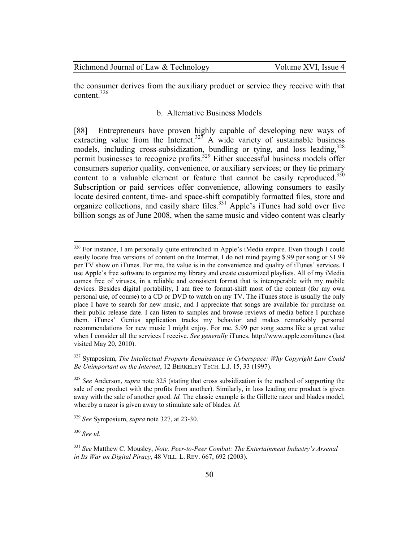the consumer derives from the auxiliary product or service they receive with that content.<sup>326</sup>

## b. Alternative Business Models

[88] Entrepreneurs have proven highly capable of developing new ways of extracting value from the Internet.<sup>327</sup> A wide variety of sustainable business models, including cross-subsidization, bundling or tying, and loss leading,  $328$ permit businesses to recognize profits.<sup>329</sup> Either successful business models offer consumers superior quality, convenience, or auxiliary services; or they tie primary content to a valuable element or feature that cannot be easily reproduced.<sup>330</sup> Subscription or paid services offer convenience, allowing consumers to easily locate desired content, time- and space-shift compatibly formatted files, store and organize collections, and easily share files.<sup>331</sup> Apple's iTunes had sold over five billion songs as of June 2008, when the same music and video content was clearly

-

<sup>&</sup>lt;sup>326</sup> For instance, I am personally quite entrenched in Apple's iMedia empire. Even though I could easily locate free versions of content on the Internet, I do not mind paying \$.99 per song or \$1.99 per TV show on iTunes. For me, the value is in the convenience and quality of iTunes' services. I use Apple's free software to organize my library and create customized playlists. All of my iMedia comes free of viruses, in a reliable and consistent format that is interoperable with my mobile devices. Besides digital portability, I am free to format-shift most of the content (for my own personal use, of course) to a CD or DVD to watch on my TV. The iTunes store is usually the only place I have to search for new music, and I appreciate that songs are available for purchase on their public release date. I can listen to samples and browse reviews of media before I purchase them. iTunes' Genius application tracks my behavior and makes remarkably personal recommendations for new music I might enjoy. For me, \$.99 per song seems like a great value when I consider all the services I receive. *See generally* iTunes, http://www.apple.com/itunes (last visited May 20, 2010).

<sup>327</sup> Symposium, *The Intellectual Property Renaissance in Cyberspace: Why Copyright Law Could Be Unimportant on the Internet*, 12 BERKELEY TECH. L.J. 15, 33 (1997).

<sup>328</sup> *See* Anderson, *supra* note 325 (stating that cross subsidization is the method of supporting the sale of one product with the profits from another). Similarly, in loss leading one product is given away with the sale of another good. *Id.* The classic example is the Gillette razor and blades model, whereby a razor is given away to stimulate sale of blades. *Id.*

<sup>329</sup> *See* Symposium, *supra* note 327, at 23-30.

<sup>330</sup> *See id.*

<sup>331</sup> *See* Matthew C. Mousley, *Note, Peer-to-Peer Combat: The Entertainment Industry's Arsenal in Its War on Digital Piracy*, 48 VILL. L. REV. 667, 692 (2003).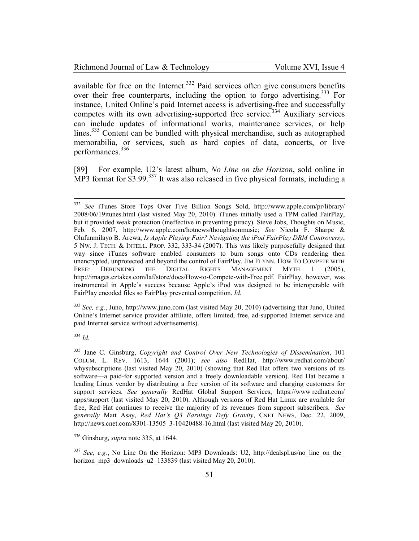available for free on the Internet.<sup>332</sup> Paid services often give consumers benefits over their free counterparts, including the option to forgo advertising.<sup>333</sup> For instance, United Online's paid Internet access is advertising-free and successfully competes with its own advertising-supported free service.<sup>334</sup> Auxiliary services can include updates of informational works, maintenance services, or help lines.<sup>335</sup> Content can be bundled with physical merchandise, such as autographed memorabilia, or services, such as hard copies of data, concerts, or live performances.<sup>336</sup>

[89] For example, U2's latest album, *No Line on the Horizon*, sold online in  $\overline{MP3}$  format for \$3.99<sup>337</sup> It was also released in five physical formats, including a

<sup>333</sup> *See, e.g.*, Juno, http://www.juno.com (last visited May 20, 2010) (advertising that Juno, United Online's Internet service provider affiliate, offers limited, free, ad-supported Internet service and paid Internet service without advertisements).

<sup>334</sup> *Id.*

<sup>336</sup> Ginsburg, *supra* note 335, at 1644.

<sup>337</sup> *See, e.g.*, No Line On the Horizon: MP3 Downloads: U2, http://dealspl.us/no line on the horizon\_mp3\_downloads\_u2\_133839 (last visited May 20, 2010).

<sup>332</sup> <sup>332</sup> *See* iTunes Store Tops Over Five Billion Songs Sold, http://www.apple.com/pr/library/ 2008/06/19itunes.html (last visited May 20, 2010). iTunes initially used a TPM called FairPlay, but it provided weak protection (ineffective in preventing piracy). Steve Jobs, Thoughts on Music, Feb. 6, 2007, http://www.apple.com/hotnews/thoughtsonmusic; *See* Nicola F. Sharpe & Olufunmilayo B. Arewa, *Is Apple Playing Fair? Navigating the iPod FairPlay DRM Controversy*, 5 NW. J. TECH. & INTELL. PROP. 332, 333-34 (2007). This was likely purposefully designed that way since iTunes software enabled consumers to burn songs onto CDs rendering then unencrypted, unprotected and beyond the control of FairPlay. JIM FLYNN, HOW TO COMPETE WITH FREE: DEBUNKING THE DIGITAL RIGHTS MANAGEMENT MYTH 1 (2005), http://images.eztakes.com/laf/store/docs/How-to-Compete-with-Free.pdf. FairPlay, however, was instrumental in Apple's success because Apple's iPod was designed to be interoperable with FairPlay encoded files so FairPlay prevented competition. *Id.*

<sup>335</sup> Jane C. Ginsburg, *Copyright and Control Over New Technologies of Dissemination*, 101 COLUM. L. REV. 1613, 1644 (2001); *see also* RedHat, http://www.redhat.com/about/ whysubscriptions (last visited May 20, 2010) (showing that Red Hat offers two versions of its software—a paid-for supported version and a freely downloadable version). Red Hat became a leading Linux vendor by distributing a free version of its software and charging customers for support services. *See generally* RedHat Global Support Services, https://www redhat.com/ apps/support (last visited May 20, 2010). Although versions of Red Hat Linux are available for free, Red Hat continues to receive the majority of its revenues from support subscribers. *See generally* Matt Asay, *Red Hat's Q3 Earnings Defy Gravity*, CNET NEWS, Dec. 22, 2009, http://news.cnet.com/8301-13505 3-10420488-16.html (last visited May 20, 2010).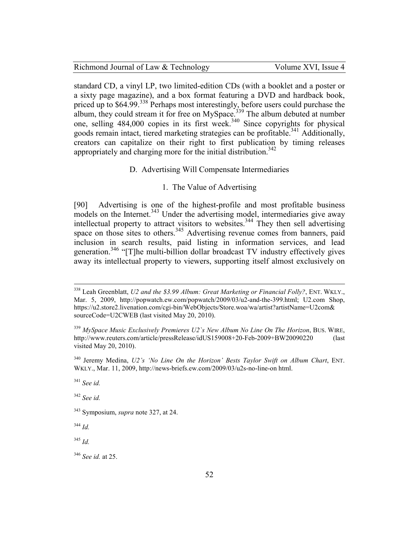|  |  | Richmond Journal of Law & Technology |  |
|--|--|--------------------------------------|--|
|  |  |                                      |  |

standard CD, a vinyl LP, two limited-edition CDs (with a booklet and a poster or a sixty page magazine), and a box format featuring a DVD and hardback book, priced up to \$64.99.<sup>338</sup> Perhaps most interestingly, before users could purchase the album, they could stream it for free on MySpace. $339$  The album debuted at number one, selling  $484,000$  copies in its first week.<sup>340</sup> Since copyrights for physical goods remain intact, tiered marketing strategies can be profitable.<sup>341</sup> Additionally, creators can capitalize on their right to first publication by timing releases appropriately and charging more for the initial distribution.<sup>342</sup>

## D. Advertising Will Compensate Intermediaries

### 1. The Value of Advertising

[90] Advertising is one of the highest-profile and most profitable business models on the Internet.<sup>343</sup> Under the advertising model, intermediaries give away intellectual property to attract visitors to websites.<sup>344</sup> They then sell advertising space on those sites to others.<sup>345</sup> Advertising revenue comes from banners, paid inclusion in search results, paid listing in information services, and lead generation.<sup>346</sup> "[T]he multi-billion dollar broadcast TV industry effectively gives away its intellectual property to viewers, supporting itself almost exclusively on

<u>.</u>

<sup>342</sup> *See id.*

<sup>345</sup> *Id.*

<sup>338</sup> Leah Greenblatt, *U2 and the \$3.99 Album: Great Marketing or Financial Folly?*, ENT. WKLY., Mar. 5, 2009, http://popwatch.ew.com/popwatch/2009/03/u2-and-the-399.html; U2.com Shop, https://u2.store2.livenation.com/cgi-bin/WebObjects/Store.woa/wa/artist?artistName=U2com& sourceCode=U2CWEB (last visited May 20, 2010).

<sup>339</sup> *MySpace Music Exclusively Premieres U2`s New Album No Line On The Horizon*, BUS. WIRE, http://www.reuters.com/article/pressRelease/idUS159008+20-Feb-2009+BW20090220 (last visited May 20, 2010).

<sup>340</sup> Jeremy Medina, *U2's 'No Line On the Horizon' Bests Taylor Swift on Album Chart*, ENT. WKLY., Mar. 11, 2009, http://news-briefs.ew.com/2009/03/u2s-no-line-on html.

<sup>341</sup> *See id.*

<sup>343</sup> Symposium, *supra* note 327, at 24.

<sup>344</sup> *Id.*

<sup>346</sup> *See id.* at 25.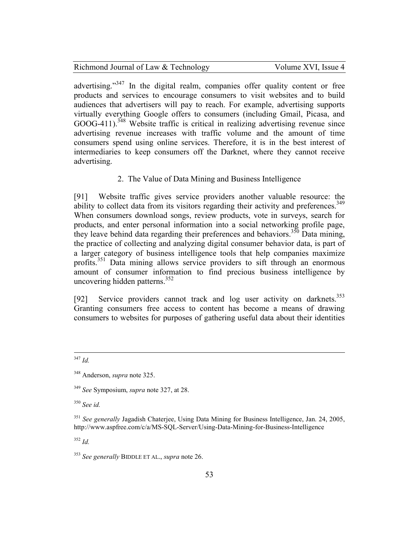advertising."<sup>347</sup> In the digital realm, companies offer quality content or free products and services to encourage consumers to visit websites and to build audiences that advertisers will pay to reach. For example, advertising supports virtually everything Google offers to consumers (including Gmail, Picasa, and  $GOOG-411$ .<sup>348</sup> Website traffic is critical in realizing advertising revenue since advertising revenue increases with traffic volume and the amount of time consumers spend using online services. Therefore, it is in the best interest of intermediaries to keep consumers off the Darknet, where they cannot receive advertising.

2. The Value of Data Mining and Business Intelligence

[91] Website traffic gives service providers another valuable resource: the ability to collect data from its visitors regarding their activity and preferences.<sup>349</sup> When consumers download songs, review products, vote in surveys, search for products, and enter personal information into a social networking profile page, they leave behind data regarding their preferences and behaviors.<sup>350</sup> Data mining, the practice of collecting and analyzing digital consumer behavior data, is part of a larger category of business intelligence tools that help companies maximize profits.<sup>351</sup> Data mining allows service providers to sift through an enormous amount of consumer information to find precious business intelligence by uncovering hidden patterns.<sup>352</sup>

[92] Service providers cannot track and log user activity on darknets.<sup>353</sup> Granting consumers free access to content has become a means of drawing consumers to websites for purposes of gathering useful data about their identities

-<sup>347</sup> *Id.*

<sup>350</sup> *See id.*

<sup>352</sup> *Id.*

<sup>348</sup> Anderson, *supra* note 325.

<sup>349</sup> *See* Symposium, *supra* note 327, at 28.

<sup>351</sup> *See generally* Jagadish Chaterjee, Using Data Mining for Business Intelligence, Jan. 24, 2005, http://www.aspfree.com/c/a/MS-SQL-Server/Using-Data-Mining-for-Business-Intelligence

<sup>353</sup> *See generally* BIDDLE ET AL., *supra* note 26.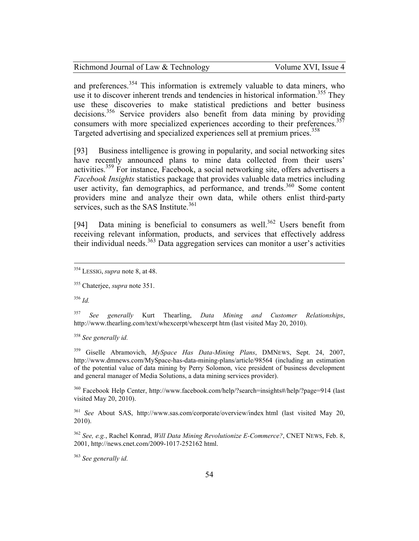| Richmond Journal of Law & Technology | Volume XVI, Issue 4 |
|--------------------------------------|---------------------|
|--------------------------------------|---------------------|

and preferences.<sup>354</sup> This information is extremely valuable to data miners, who use it to discover inherent trends and tendencies in historical information.<sup>355</sup> They use these discoveries to make statistical predictions and better business decisions.<sup>356</sup> Service providers also benefit from data mining by providing consumers with more specialized experiences according to their preferences.<sup>357</sup> Targeted advertising and specialized experiences sell at premium prices.<sup>358</sup>

[93] Business intelligence is growing in popularity, and social networking sites have recently announced plans to mine data collected from their users' activities.<sup>359</sup> For instance, Facebook, a social networking site, offers advertisers a *Facebook Insights* statistics package that provides valuable data metrics including user activity, fan demographics, ad performance, and trends.<sup>360</sup> Some content providers mine and analyze their own data, while others enlist third-party services, such as the SAS Institute. $361$ 

[94] Data mining is beneficial to consumers as well.<sup>362</sup> Users benefit from receiving relevant information, products, and services that effectively address their individual needs.<sup>363</sup> Data aggregation services can monitor a user's activities

<sup>356</sup> *Id.*

<u>.</u>

<sup>357</sup> *See generally* Kurt Thearling, *Data Mining and Customer Relationships*, http://www.thearling.com/text/whexcerpt/whexcerpt htm (last visited May 20, 2010).

<sup>358</sup> *See generally id.*

<sup>359</sup> Giselle Abramovich, *MySpace Has Data-Mining Plans*, DMNEWS, Sept. 24, 2007, http://www.dmnews.com/MySpace-has-data-mining-plans/article/98564 (including an estimation of the potential value of data mining by Perry Solomon, vice president of business development and general manager of Media Solutions, a data mining services provider).

<sup>360</sup> Facebook Help Center, http://www.facebook.com/help/?search=insights#/help/?page=914 (last visited May 20, 2010).

<sup>361</sup> *See* About SAS, http://www.sas.com/corporate/overview/index html (last visited May 20, 2010).

<sup>362</sup> *See, e.g.*, Rachel Konrad, *Will Data Mining Revolutionize E-Commerce?*, CNET NEWS, Feb. 8, 2001, http://news.cnet.com/2009-1017-252162 html.

<sup>363</sup> *See generally id.*

<sup>354</sup> LESSIG, *supra* note 8, at 48.

<sup>355</sup> Chaterjee, *supra* note 351.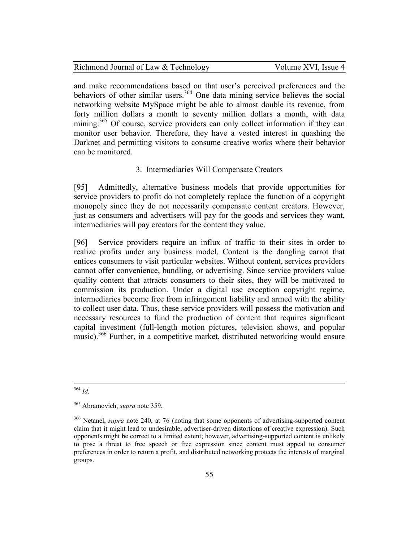| Richmond Journal of Law & Technology | Volume XVI, Issue 4 |
|--------------------------------------|---------------------|
|--------------------------------------|---------------------|

and make recommendations based on that user's perceived preferences and the behaviors of other similar users.<sup>364</sup> One data mining service believes the social networking website MySpace might be able to almost double its revenue, from forty million dollars a month to seventy million dollars a month, with data mining.<sup>365</sup> Of course, service providers can only collect information if they can monitor user behavior. Therefore, they have a vested interest in quashing the Darknet and permitting visitors to consume creative works where their behavior can be monitored.

### 3. Intermediaries Will Compensate Creators

[95] Admittedly, alternative business models that provide opportunities for service providers to profit do not completely replace the function of a copyright monopoly since they do not necessarily compensate content creators. However, just as consumers and advertisers will pay for the goods and services they want, intermediaries will pay creators for the content they value.

[96] Service providers require an influx of traffic to their sites in order to realize profits under any business model. Content is the dangling carrot that entices consumers to visit particular websites. Without content, services providers cannot offer convenience, bundling, or advertising. Since service providers value quality content that attracts consumers to their sites, they will be motivated to commission its production. Under a digital use exception copyright regime, intermediaries become free from infringement liability and armed with the ability to collect user data. Thus, these service providers will possess the motivation and necessary resources to fund the production of content that requires significant capital investment (full-length motion pictures, television shows, and popular music).<sup>366</sup> Further, in a competitive market, distributed networking would ensure

<sup>-</sup><sup>364</sup> *Id.*

<sup>365</sup> Abramovich, *supra* note 359.

<sup>366</sup> Netanel, *supra* note 240, at 76 (noting that some opponents of advertising-supported content claim that it might lead to undesirable, advertiser-driven distortions of creative expression). Such opponents might be correct to a limited extent; however, advertising-supported content is unlikely to pose a threat to free speech or free expression since content must appeal to consumer preferences in order to return a profit, and distributed networking protects the interests of marginal groups.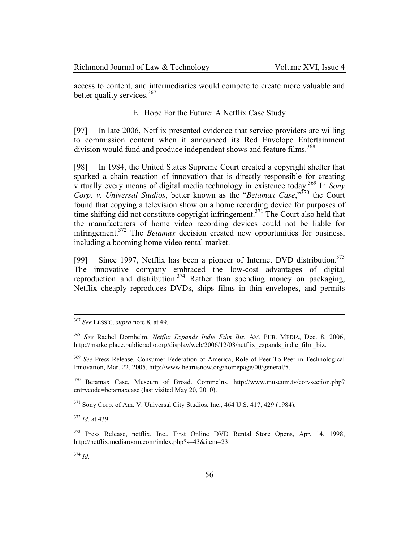| Richmond Journal of Law & Technology | Volume XVI, Issue 4 |
|--------------------------------------|---------------------|
|--------------------------------------|---------------------|

access to content, and intermediaries would compete to create more valuable and better quality services.<sup>367</sup>

### E. Hope For the Future: A Netflix Case Study

[97] In late 2006, Netflix presented evidence that service providers are willing to commission content when it announced its Red Envelope Entertainment division would fund and produce independent shows and feature films.<sup>368</sup>

[98] In 1984, the United States Supreme Court created a copyright shelter that sparked a chain reaction of innovation that is directly responsible for creating virtually every means of digital media technology in existence today.<sup>369</sup> In *Sony Corp. v. Universal Studios*, better known as the "*Betamax Case*,"<sup>370</sup> the Court found that copying a television show on a home recording device for purposes of time shifting did not constitute copyright infringement.<sup>371</sup> The Court also held that the manufacturers of home video recording devices could not be liable for infringement.<sup>372</sup> The *Betamax* decision created new opportunities for business, including a booming home video rental market.

[99] Since 1997, Netflix has been a pioneer of Internet DVD distribution.<sup>373</sup> The innovative company embraced the low-cost advantages of digital reproduction and distribution.<sup>374</sup> Rather than spending money on packaging, Netflix cheaply reproduces DVDs, ships films in thin envelopes, and permits

 $371$  Sony Corp. of Am. V. Universal City Studios, Inc., 464 U.S. 417, 429 (1984).

<sup>372</sup> *Id.* at 439.

<sup>373</sup> Press Release, netflix, Inc., First Online DVD Rental Store Opens, Apr. 14, 1998, http://netflix.mediaroom.com/index.php?s=43&item=23.

<sup>374</sup> *Id.*

<sup>367</sup> *See* LESSIG, *supra* note 8, at 49.

<sup>368</sup> *See* Rachel Dornhelm, *Netflix Expands Indie Film Biz*, AM. PUB. MEDIA, Dec. 8, 2006, http://marketplace.publicradio.org/display/web/2006/12/08/netflix\_expands\_indie\_film\_biz.

<sup>369</sup> *See* Press Release, Consumer Federation of America, Role of Peer-To-Peer in Technological Innovation, Mar. 22, 2005, http://www hearusnow.org/homepage/00/general/5.

<sup>370</sup> Betamax Case, Museum of Broad. Commc'ns, http://www.museum.tv/eotvsection.php? entrycode=betamaxcase (last visited May 20, 2010).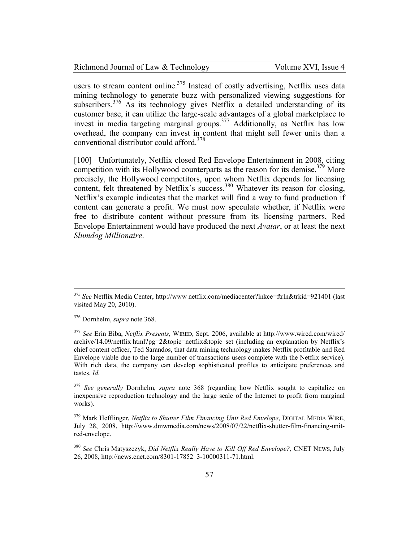Volume XVI, Issue 4

users to stream content online.<sup>375</sup> Instead of costly advertising, Netflix uses data mining technology to generate buzz with personalized viewing suggestions for subscribers.<sup>376</sup> As its technology gives Netflix a detailed understanding of its customer base, it can utilize the large-scale advantages of a global marketplace to invest in media targeting marginal groups.<sup>377</sup> Additionally, as Netflix has low overhead, the company can invest in content that might sell fewer units than a conventional distributor could afford.<sup>378</sup>

[100] Unfortunately, Netflix closed Red Envelope Entertainment in 2008, citing competition with its Hollywood counterparts as the reason for its demise.<sup>379</sup> More precisely, the Hollywood competitors, upon whom Netflix depends for licensing content, felt threatened by Netflix's success.<sup>380</sup> Whatever its reason for closing, Netflix's example indicates that the market will find a way to fund production if content can generate a profit. We must now speculate whether, if Netflix were free to distribute content without pressure from its licensing partners, Red Envelope Entertainment would have produced the next *Avatar*, or at least the next *Slumdog Millionaire*.

<sup>376</sup> Dornhelm, *supra* note 368.

-

<sup>375</sup> *See* Netflix Media Center, http://www netflix.com/mediacenter?lnkce=ftrln&trkid=921401 (last visited May 20, 2010).

<sup>377</sup> *See* Erin Biba, *Netflix Presents*, WIRED, Sept. 2006, available at http://www.wired.com/wired/ archive/14.09/netflix html?pg=2&topic=netflix&topic\_set (including an explanation by Netflix's chief content officer, Ted Sarandos, that data mining technology makes Netflix profitable and Red Envelope viable due to the large number of transactions users complete with the Netflix service). With rich data, the company can develop sophisticated profiles to anticipate preferences and tastes. *Id.*

<sup>378</sup> *See generally* Dornhelm, *supra* note 368 (regarding how Netflix sought to capitalize on inexpensive reproduction technology and the large scale of the Internet to profit from marginal works).

<sup>379</sup> Mark Hefflinger, *Netflix to Shutter Film Financing Unit Red Envelope*, DIGITAL MEDIA WIRE, July 28, 2008, http://www.dmwmedia.com/news/2008/07/22/netflix-shutter-film-financing-unitred-envelope.

<sup>380</sup> *See* Chris Matyszczyk, *Did Netflix Really Have to Kill Off Red Envelope?*, CNET NEWS, July 26, 2008, http://news.cnet.com/8301-17852\_3-10000311-71.html.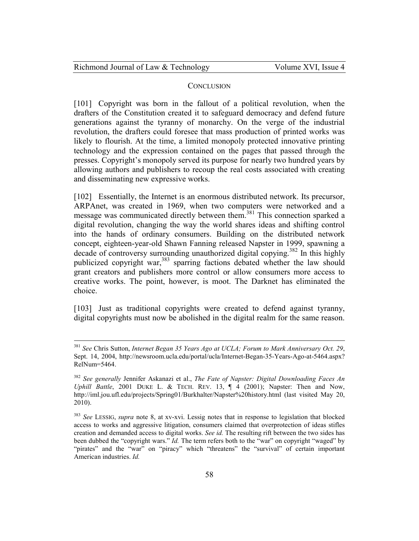| Richmond Journal of Law & Technology |  |
|--------------------------------------|--|
|--------------------------------------|--|

 $\overline{a}$ 

#### **CONCLUSION**

[101] Copyright was born in the fallout of a political revolution, when the drafters of the Constitution created it to safeguard democracy and defend future generations against the tyranny of monarchy. On the verge of the industrial revolution, the drafters could foresee that mass production of printed works was likely to flourish. At the time, a limited monopoly protected innovative printing technology and the expression contained on the pages that passed through the presses. Copyright's monopoly served its purpose for nearly two hundred years by allowing authors and publishers to recoup the real costs associated with creating and disseminating new expressive works.

[102] Essentially, the Internet is an enormous distributed network. Its precursor, ARPAnet, was created in 1969, when two computers were networked and a message was communicated directly between them.<sup>381</sup> This connection sparked a digital revolution, changing the way the world shares ideas and shifting control into the hands of ordinary consumers. Building on the distributed network concept, eighteen-year-old Shawn Fanning released Napster in 1999, spawning a decade of controversy surrounding unauthorized digital copying.<sup>382</sup> In this highly publicized copyright war,<sup>383</sup> sparring factions debated whether the law should grant creators and publishers more control or allow consumers more access to creative works. The point, however, is moot. The Darknet has eliminated the choice.

[103] Just as traditional copyrights were created to defend against tyranny, digital copyrights must now be abolished in the digital realm for the same reason.

<sup>381</sup> *See* Chris Sutton, *Internet Began 35 Years Ago at UCLA; Forum to Mark Anniversary Oct. 29*, Sept. 14, 2004, http://newsroom.ucla.edu/portal/ucla/Internet-Began-35-Years-Ago-at-5464.aspx? RelNum=5464.

<sup>382</sup> *See generally* Jennifer Askanazi et al., *The Fate of Napster: Digital Downloading Faces An Uphill Battle*, 2001 DUKE L. & TECH. REV. 13, ¶ 4 (2001); Napster: Then and Now, http://iml.jou.ufl.edu/projects/Spring01/Burkhalter/Napster%20history.html (last visited May 20, 2010).

<sup>383</sup> *See* LESSIG, *supra* note 8, at xv-xvi. Lessig notes that in response to legislation that blocked access to works and aggressive litigation, consumers claimed that overprotection of ideas stifles creation and demanded access to digital works. *See id.* The resulting rift between the two sides has been dubbed the "copyright wars." *Id.* The term refers both to the "war" on copyright "waged" by "pirates" and the "war" on "piracy" which "threatens" the "survival" of certain important American industries. *Id.*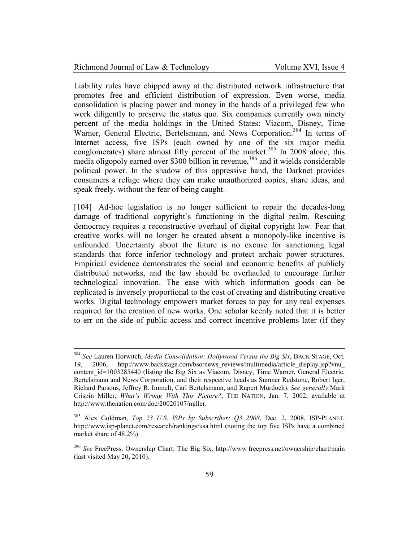<u>.</u>

Liability rules have chipped away at the distributed network infrastructure that promotes free and efficient distribution of expression. Even worse, media consolidation is placing power and money in the hands of a privileged few who work diligently to preserve the status quo. Six companies currently own ninety percent of the media holdings in the United States: Viacom, Disney, Time Warner, General Electric, Bertelsmann, and News Corporation.<sup>384</sup> In terms of Internet access, five ISPs (each owned by one of the six major media conglomerates) share almost fifty percent of the market.<sup>385</sup> In 2008 alone, this media oligopoly earned over \$300 billion in revenue,<sup>386</sup> and it wields considerable political power. In the shadow of this oppressive hand, the Darknet provides consumers a refuge where they can make unauthorized copies, share ideas, and speak freely, without the fear of being caught.

[104] Ad-hoc legislation is no longer sufficient to repair the decades-long damage of traditional copyright's functioning in the digital realm. Rescuing democracy requires a reconstructive overhaul of digital copyright law. Fear that creative works will no longer be created absent a monopoly-like incentive is unfounded. Uncertainty about the future is no excuse for sanctioning legal standards that force inferior technology and protect archaic power structures. Empirical evidence demonstrates the social and economic benefits of publicly distributed networks, and the law should be overhauled to encourage further technological innovation. The ease with which information goods can be replicated is inversely proportional to the cost of creating and distributing creative works. Digital technology empowers market forces to pay for any real expenses required for the creation of new works. One scholar keenly noted that it is better to err on the side of public access and correct incentive problems later (if they

<sup>384</sup> *See* Lauren Horwitch, *Media Consolidation: Hollywood Versus the Big Six*, BACK STAGE, Oct. 19, 2006, http://www.backstage.com/bso/news\_reviews/multimedia/article\_display.jsp?vnu\_ content\_id=1003285440 (listing the Big Six as Viacom, Disney, Time Warner, General Electric, Bertelsmann and News Corporation, and their respective heads as Sumner Redstone, Robert Iger, Richard Parsons, Jeffrey R. Immelt, Carl Bertelsmann, and Rupert Murdoch). *See generally* Mark Crispin Miller, *What's Wrong With This Picture?*, THE NATION, Jan. 7, 2002, available at http://www.thenation.com/doc/20020107/miller.

<sup>385</sup> Alex Goldman, *Top 23 U.S. ISPs by Subscriber: Q3 2008*, Dec. 2, 2008, ISP-PLANET, http://www.isp-planet.com/research/rankings/usa html (noting the top five ISPs have a combined market share of 48.2%).

<sup>386</sup> *See* FreePress, Ownership Chart: The Big Six, http://www freepress.net/ownership/chart/main (last visited May 20, 2010).